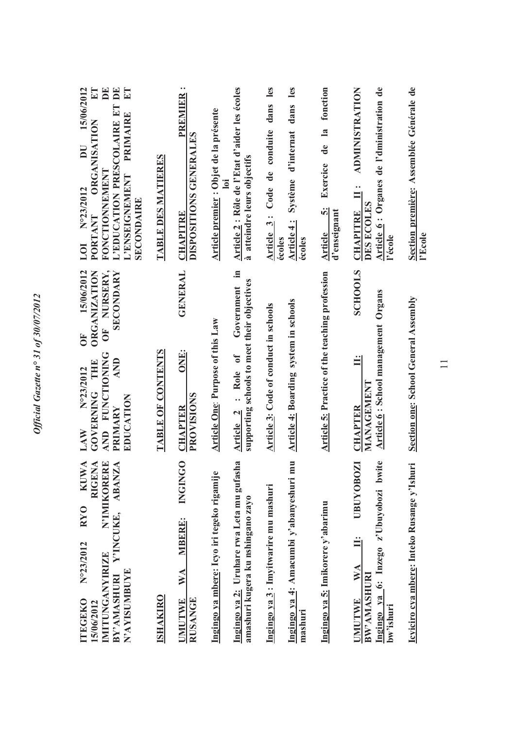| 15/06/2012<br>$E\mathbf{T}$<br>$\mathbf{E}$<br>$\mathbf{E}$<br>ET<br>L'EDUCATION PRESCOLAIRE ET<br>PRIMAIRE<br>ORGANISATION<br>DU<br><b>FONCTIONNEMENT</b><br>L'ENSEIGNEMENT<br>N°23/2012<br><b>SECONDAIRE</b><br>PORTANT<br>LOI | <b>TABLE DES MATIERES</b> | $\bullet$<br><b>PREMIER</b><br>DISPOSITIONS GENERALES<br><b>CHAPITRE</b> | Article 2 : Rôle de l'Etat d'aider les écoles<br>Article premier : Objet de la présente<br>à atteindre leurs objectifs<br>lol        | les<br>dans<br>Article 3: Code de conduite                                 | Système d'internat dans les<br>Article 4:<br>écoles<br>écoles | fonction<br>$\overline{\mathbf{a}}$<br>de<br>Exercice<br>$\ddot{\Omega}$<br>d'enseignant<br>Article | Article 6: Organes de l'dministration de<br><b>ADMINISTRATION</b><br>$\bullet$<br>$\equiv$<br>DES ECOLES<br><b>CHAPITRE</b><br>l'école | Section première: Assemblée Générale de<br>l'Ecole |
|----------------------------------------------------------------------------------------------------------------------------------------------------------------------------------------------------------------------------------|---------------------------|--------------------------------------------------------------------------|--------------------------------------------------------------------------------------------------------------------------------------|----------------------------------------------------------------------------|---------------------------------------------------------------|-----------------------------------------------------------------------------------------------------|----------------------------------------------------------------------------------------------------------------------------------------|----------------------------------------------------|
| NURSERY,<br>15/06/2012<br><b>ORGANIZATION</b><br>SECONDARY<br>Ŏ<br><b>FO</b><br>AND FUNCTIONING<br>AND<br>GOVERNING THE<br>N°23/2012<br>EDUCATION<br>PRIMARY<br>LAW                                                              | TABLE OF CONTENTS         | <b>GENERAL</b><br>ONE:<br>PROVISIONS<br><b>CHAPTER</b>                   | Ξ.<br>supporting schools to meet their objectives<br>Government<br><b>Article One: Purpose of this Law</b><br>: Role of<br>Article 2 | Article 3: Code of conduct in schools                                      | <b>Article 4: Boarding system in schools</b>                  | <b>Article 5: Practice of the teaching profession</b>                                               | <b>SCHOOLS</b><br><b>Article 6: School management Organs</b><br>$\ddot{=}$<br>MANAGEMENT<br><b>CHAPTER</b>                             | Section one: School General Assembly               |
| N'IMIKORERE<br><b>KUWA</b><br>Y'INCUKE, ABANZA<br><b>RIGEN</b><br><b>RYO</b><br>N°23/2012<br>IMITUNGANYIRIZE<br>BY'AMASHURI<br>N'AYISUMBUYE<br><b>TTEGEKO</b><br>15/06/2012                                                      | <b>ISHAKIRO</b>           | INGINGO<br><b>MBERE:</b><br>WA<br><b>RUSANGE</b><br><b>UMUTWE</b>        | Ingingo ya 2: Uruhare rwa Leta mu gufasha<br>Ingingo ya mbere: Icyo iri tegeko rigamije                                              | Ingingo ya 3 : Imyitwarire mu mashuri<br>amashuri kugera ku nshingano zayo | Ξ<br>Ingingo ya 4: Amacumbi y'abanyeshuri m<br>mashuri        | Ingingo ya 5: Imikorere y'abarimu                                                                   | Ingingo ya 6: Inzego z'Ubuyobozi bwite<br><b>UBUYOBOZI</b><br>$\mathbf{W} \mathbf{A}$<br>BW'AMASHURI<br><b>UMUTWE</b><br>bw'ishuri     | Icyiciro cya mbere: Inteko Rusange y'Ishuri        |

 $\overline{11}$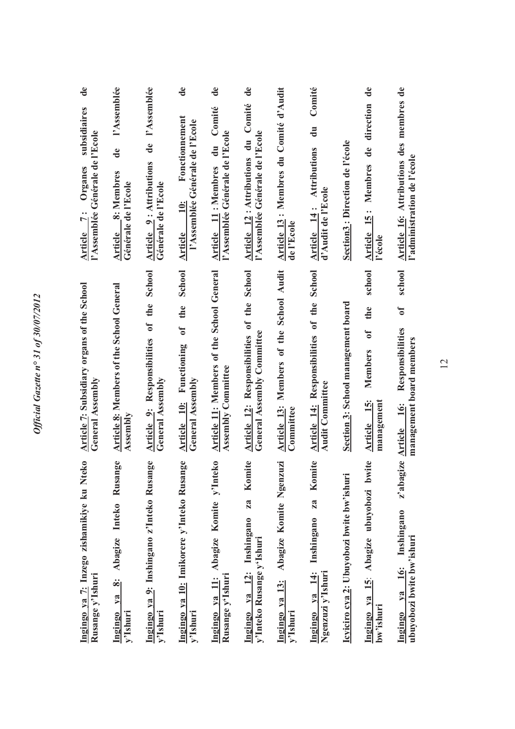| $\mathbf{d}\mathbf{e}$<br>subsidiaires<br>l'Assemblée Générale de l'Ecole<br>Organes<br>Article 7: | l'Assemblée<br>$\mathbf{d}\mathbf{e}$<br>$\frac{8}{2}$ : Membres<br>Générale de l'Ecole<br><b>Article</b> | l'Assemblée<br>de<br><b>Article 9: Attributions</b><br>Générale de l'Ecole | $\mathbf{d}\mathbf{e}$<br>Fonctionnement<br>l'Assemblée Générale de l'Ecole<br><b>10:</b><br><b>Article</b> | $\mathbf{d}\mathbf{e}$<br>Comité<br>l'Assemblée Générale de l'Ecole<br>$\ddot{a}$<br>Article 11: Membres | $\mathbf{d}\mathbf{e}$<br>Comité<br>l'Assemblée Générale de l'Ecole<br>Article 12: Attributions du                   | Article 13: Membres du Comité d'Audit<br>de l'Ecole   | Comité<br>$\mathbf{d}$ u<br><b>Attributions</b><br>d'Audit de l'Ecole<br>Article 14: | Section3: Direction de l'école            | $\mathbf{d}\mathbf{e}$<br>direction<br>Article 15: Membres de<br>l'école       | Article 16: Attributions des membres de<br>l'administration de l'école                  |
|----------------------------------------------------------------------------------------------------|-----------------------------------------------------------------------------------------------------------|----------------------------------------------------------------------------|-------------------------------------------------------------------------------------------------------------|----------------------------------------------------------------------------------------------------------|----------------------------------------------------------------------------------------------------------------------|-------------------------------------------------------|--------------------------------------------------------------------------------------|-------------------------------------------|--------------------------------------------------------------------------------|-----------------------------------------------------------------------------------------|
| Article 7: Subsidiary organs of the School<br>General Assembly                                     | <b>Article 8: Members of the School General</b><br>Assembly                                               | Article 9: Responsibilities of the School<br>General Assembly              | School<br>the<br>$\mathbf{c}$<br>Article 10: Functioning<br>General Assembly                                | Article 11: Members of the School General<br>Assembly Committee                                          | School<br>the<br>$\overline{\mathbf{a}}$<br><b>General Assembly Committee</b><br><b>Article 12: Responsibilities</b> | Article 13: Members of the School Audit<br>Committee  | Article 14: Responsibilities of the School<br><b>Audit Committee</b>                 | Section 3: School management board        | school<br>the<br>$\mathfrak{h}$<br><b>Members</b><br>Article 15:<br>management | school<br>$\mathfrak{b}$<br>Responsibilities<br>management board members<br>Article 16: |
| Ingingo ya 7: Inzego zishamikiye ku Nteko<br>Rusange y'Ishuri                                      | ge<br>Abagize Inteko Rusan<br>ွဴး<br>ya<br>y'Ishuri<br>Ingingo                                            | pge<br>Ingingo ya 9: Inshingano z'Inteko Rusan<br>y'Ishuri                 | ge<br>Ingingo ya 10: Imikorere y'Inteko Rusan<br>y'Ishuri                                                   | Ingingo ya 11: Abagize Komite y'Inteko<br>Rusange y'Ishuri                                               | Komite<br>za<br>Ingingo ya 12: Inshingano<br>y'Inteko Rusange y'Ishuri                                               | Abagize Komite Ngenzuzi<br>Ingingo ya 13:<br>y'Ishuri | Komite<br>za<br>Inshingano<br>Ingingo ya 14:<br>Ngenzuzi y'Ishuri                    | Icyiciro cya 2: Ubuyobozi bwite bw'ishuri | ite<br>Abagize ubuyobozi bw<br><u>isi</u><br>$1$<br>bw'ishuri<br>Ingingo       | z'abagize<br>Inshingano<br>ubuyobozi bwite bw'ishuri<br><b>16:</b><br>$va$<br>Ingingo   |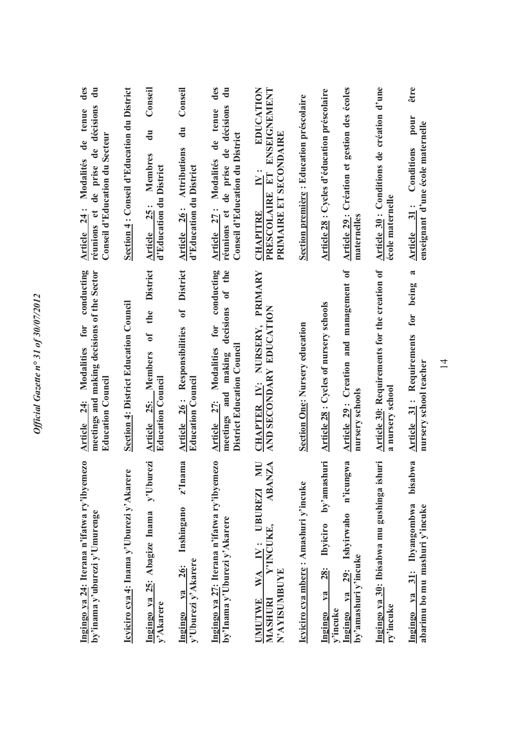| des<br>$\frac{1}{\sigma}$<br>de prise de décisions<br>Modalités de tenue<br>Conseil d'Education du Secteur<br>Article 24:<br>réunions et | Section 4: Conseil d'Education du District   | Conseil<br>$\frac{1}{d}$<br>Membres<br>d'Education du District<br>Article 25:      | Conseil<br>$\overline{d}$ u<br><b>Attributions</b><br>d'Education du District<br>Article 26:  | des<br>킁<br>réunions et de prise de décisions<br>tenue<br>Conseil d'Education du District<br>de<br>Modalités<br>Article 27:                        | EDUCATION<br>PRESCOLAIRE ET ENSEIGNEMENT<br>PRIMAIRE ET SECONDAIRE<br>$\ddot{N}$ :<br><b>CHAPITRE</b> | Section première : Education préscolaire | Article 28 : Cycles d'éducation préscolaire           | Article 29 : Création et gestion des écoles<br>maternelles        | Article 30 : Conditions de création d'une<br>école maternelle    | être<br>pour<br>enseignant d'une école maternelle<br>Conditions<br>Article 31:          |
|------------------------------------------------------------------------------------------------------------------------------------------|----------------------------------------------|------------------------------------------------------------------------------------|-----------------------------------------------------------------------------------------------|----------------------------------------------------------------------------------------------------------------------------------------------------|-------------------------------------------------------------------------------------------------------|------------------------------------------|-------------------------------------------------------|-------------------------------------------------------------------|------------------------------------------------------------------|-----------------------------------------------------------------------------------------|
| conducting<br>meetings and making decisions of the Sector<br>Modalities for<br><b>Education Council</b><br>Article 24:                   | <b>Section 4: District Education Council</b> | <b>District</b><br>the<br>$\mathbf{d}$<br>Article 25: Members<br>Education Council | <b>District</b><br>$\mathfrak{h}$<br>Article 26: Responsibilities<br><b>Education Council</b> | the<br>conducting<br>$\overline{\textbf{u}}$<br>decisions<br>for<br>District Education Council<br>Modalities<br>meetings and making<br>Article 27: | PRIMARY<br>AND SECONDARY EDUCATION<br>CHAPTER IV: NURSERY,                                            | <b>Section One: Nursery education</b>    | <b>Article 28: Cycles of nursery schools</b>          | Article 29: Creation and management of<br>nursery schools         | Article 30: Requirements for the creation of<br>a nursery school | $\mathbf{\tilde{z}}$<br>for being<br>Article 31: Requirements<br>nursery school teacher |
| Ingingo ya 24: Iterana n'ifatwa ry'ibyemezo<br>by'inama y'uburezi y'Umurenge                                                             | Icyiciro cya 4: Inama y'Uburezi y'Akarere    | y'Uburezi<br>Ingingo ya 25: Abagize Inama<br>y'Akarere                             | z'Inama<br>Inshingano<br>y'Uburezi y'Akarere<br><b>26:</b><br>$ya$<br>Ingingo                 | Ingingo ya 27: Iterana n'ifatwa ry'ibyemezo<br>by'Inama y'Uburezi y'Akarere                                                                        | <b>NN</b><br><b>ABANZA</b><br>WA IV: UBUREZI<br>Y'INCUKE,<br>N'AYISUMBUYE<br><b>UMUTWE</b><br>MASHURI | Icyiciro cya mbere: Amashuri y'incuke    | 28: Ibyiciro by'amashuri<br>ya<br>v'incuke<br>Ingingo | n'icungwa<br>ya 29: Ishyirwaho<br>by'amashuri y'incuke<br>Ingingo | Ingingo ya 30: Ibisabwa mu gushinga ishuri<br>ry'incuke          | bisabwa<br>Ingingo ya 31: Ibyangombwa<br>abarimu bo mu mashuri y'incuke                 |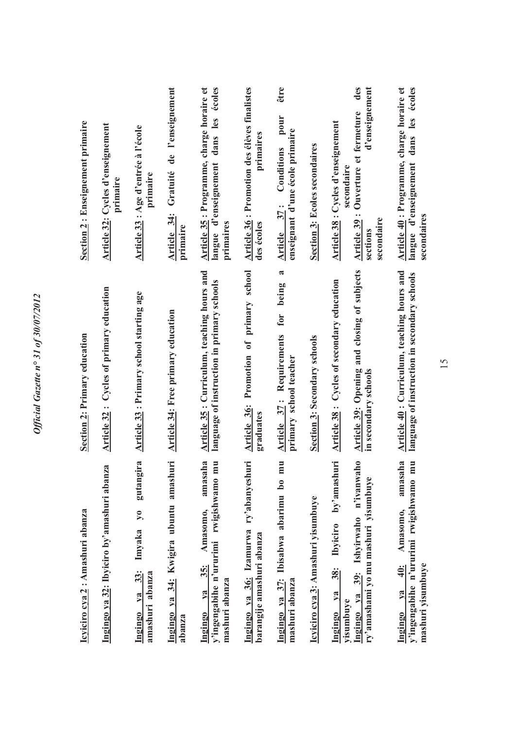| Icyiciro cya 2 : Amashuri abanza                                                                                                                                     | <b>Section 2: Primary education</b>                                                                              | Section 2: Enseignement primaire                                                                                                             |
|----------------------------------------------------------------------------------------------------------------------------------------------------------------------|------------------------------------------------------------------------------------------------------------------|----------------------------------------------------------------------------------------------------------------------------------------------|
| Za<br>Ingingo ya 32: Ibyiciro by'amashuri aban                                                                                                                       | <b>Article 32: Cycles of primary education</b>                                                                   | Article 32: Cycles d'enseignement<br>primaire                                                                                                |
| gutangira<br>$\lambda$<br>Imyaka<br>33:<br>amashuri abanza<br>$va$<br>Ingingo                                                                                        | Article 33 : Primary school starting age                                                                         | Article 33 : Age d'entrée à l'école<br>primaire                                                                                              |
| Ingingo ya 34: Kwigira ubuntu amashuri<br>abanza                                                                                                                     | Article 34: Free primary education                                                                               | Gratuité de l'enseignement<br>Article 34:<br>primaire                                                                                        |
| amasaha<br>mu<br>y'ingengabihe n'ururimi rwigishwamo<br>Amasomo,<br>$35$ :<br>mashuri abanza<br>va<br>Ingingo                                                        | Article 35: Curriculum, teaching hours and<br>language of instruction in primary schools                         | Article 35 : Programme, charge horaire et<br>écoles<br>dans les<br>langue d'enseignement<br>primaires                                        |
| ry'abanyeshuri<br>Ingingo ya 36: Izamurwa<br>barangije amashuri abanza                                                                                               | Promotion of primary school<br>Article 36:<br>graduates                                                          | <b>Article 36: Promotion des élèves finalistes</b><br>primaires<br>des écoles                                                                |
| mu<br>$\mathbf{b}$<br>Ingingo ya 37: Ibisabwa abarimu<br>mashuri abanza                                                                                              | R<br>being<br>for<br>Requirements<br>primary school teacher<br>Article 37:                                       | être<br>pour<br>enseignant d'une école primaire<br>Conditions<br>37 :<br>Article                                                             |
| Icyiciro cya 3: Amashuri yisumbuye                                                                                                                                   | Section 3: Secondary schools                                                                                     | <b>Section 3: Ecoles secondaires</b>                                                                                                         |
| by'amashuri<br>39: Ishyirwaho n'ivanwaho<br>ry'amashami yo mu mashuri yisumbuye<br><b>Ibyiciro</b><br>$\frac{38}{3}$<br>$1$<br>V2<br>yisumbuye<br>Ingingo<br>Ingingo | Article 39: Opening and closing of subjects<br>Article 38: Cycles of secondary education<br>in secondary schools | des<br>d'enseignement<br>Ouverture et fermeture<br>Article 38 : Cycles d'enseignement<br>secondaire<br>Article 39:<br>secondaire<br>sections |
| amasaha<br>mu<br>y'ingengabihe n'ururimi rwigishwamo<br>Amasomo,<br>mashuri yisumbuye<br>$\frac{40}{3}$<br>$va$<br>Ingingo                                           | Article 40: Curriculum, teaching hours and<br>language of instruction in secondary schools                       | Article 40 : Programme, charge horaire et<br>écoles<br>dans les<br>langue d'enseignement<br>secondaires                                      |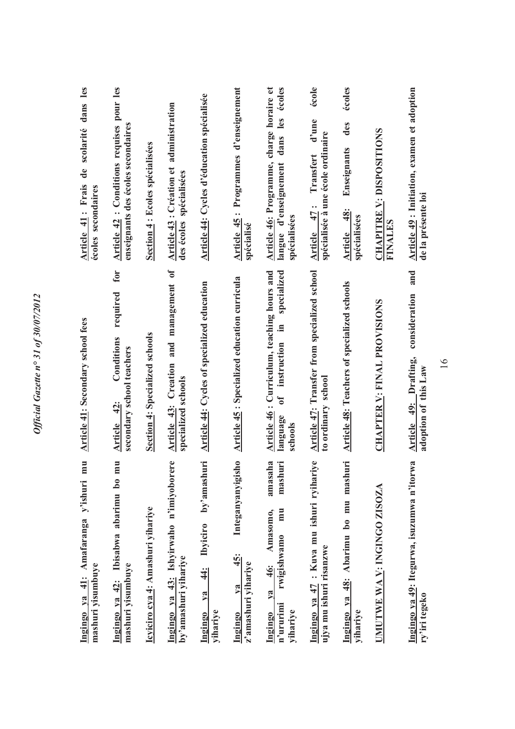| mu<br>Ingingo ya 41: Amafaranga y'ishuri<br>mashuri yisumbuye                                        | <b>Article 41: Secondary school fees</b>                                                                   | Article 41: Frais de scolarité dans les<br>écoles secondaires                                        |
|------------------------------------------------------------------------------------------------------|------------------------------------------------------------------------------------------------------------|------------------------------------------------------------------------------------------------------|
| $\overline{\mathbf{m}}$<br>Ibisabwa abarimu bo<br>mashuri yisumbuye<br>Ingingo ya 42:                | for<br>required<br>Conditions<br>secondary school teachers<br>Article 42:                                  | Article 42 : Conditions requises pour les<br>enseignants des écoles secondaires                      |
| Icyiciro cya 4: Amashuri yihariye                                                                    | Section 4: Specialized schools                                                                             | Section 4 : Ecoles spécialisées                                                                      |
| Ingingo ya 43: Ishyirwaho n'imiyoborere<br>by'amashuri yihariye                                      | and management of<br><b>Article 43: Creation</b><br>specialized schools                                    | Article 43 : Création et administration<br>des écoles spécialisées                                   |
| iuri<br>by'amash<br><b>Ibyiciro</b><br>$\ddot{4}$<br>ya<br>Ingingo<br>yihariye                       | <b>Article 44: Cycles of specialized education</b>                                                         | Article 44: Cycles d'éducation spécialisée                                                           |
| Integanyanyigisho<br>45:<br>z'amashuri yihariye<br>$1$<br>Ingingo                                    | Article 45 : Specialized education curricula                                                               | Article 45: Programmes d'enseignement<br>spécialisé                                                  |
| amasaha<br>mashuri<br>mu<br>Amasomo,<br>rwigishwamo<br>46:<br>ya<br>n'ururimi<br>yihariye<br>Ingingo | Article 46: Curriculum, teaching hours and<br>specialized<br>Ξ.<br>instruction<br>t<br>language<br>schools | Article 46: Programme, charge horaire et<br>dans les écoles<br>langue d'enseignement<br>spécialisées |
| Ingingo ya 47 : Kuva mu ishuri ryihariye<br>ujya mu ishuri risanzwe                                  | Article 47: Transfer from specialized school<br>to ordinary school                                         | école<br>d'une<br>spécialisée à une école ordinaire<br>Transfert<br>Article $47:$                    |
| Ingingo ya 48: Abarimu bo mu mashuri<br>yihariye                                                     | <b>Article 48: Teachers of specialized schools</b>                                                         | écoles<br>des<br>Enseignants<br>48:<br>spécialisées<br><b>Article</b>                                |
| UMUTWE WA V: INGINGO ZISOZA                                                                          | <b>CHAPTER V: FINAL PROVISIONS</b>                                                                         | <b>CHAPITRE V: DISPOSITIONS</b><br><b>FINALES</b>                                                    |
| Ingingo ya 49: Itegurwa, isuzumwa n'itorwa<br>ry'iri tegeko                                          | and<br>consideration<br>Article 49: Drafting,<br>adoption of this Law                                      | Article 49 : Initiation, examen et adoption<br>de la présente loi                                    |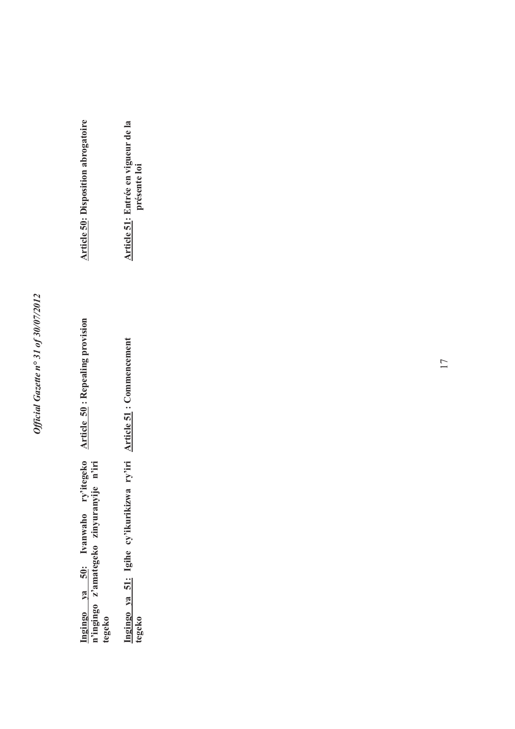**Article 50: Repealing provision Article 50 : Repealing provision**  Ingingo ya 50: Ivanwaho ry'itegeko<br>n'ingingo z'amategeko zinyuranyije n'iri **Ingingo ya 50: Ivanwaho ry'itegeko n'ingingo z'amategeko zinyuranyije n'iri tegeko**

**Ingingo ya 51: Igihe cy'ikurikizwa ry'iri**  Ingingo ya 51: Igihe cy'ikurikizwa ry'iri **Article 51:** Commencement tegeko **Article 51 : Commencement** 

Article 51: Entrée en vigueur de la<br>présente loi **Article 51: Entrée en vigueur de la présente loi** 

**Article 50: Disposition abrogatoire** 

**Article 50: Disposition abrogatoire**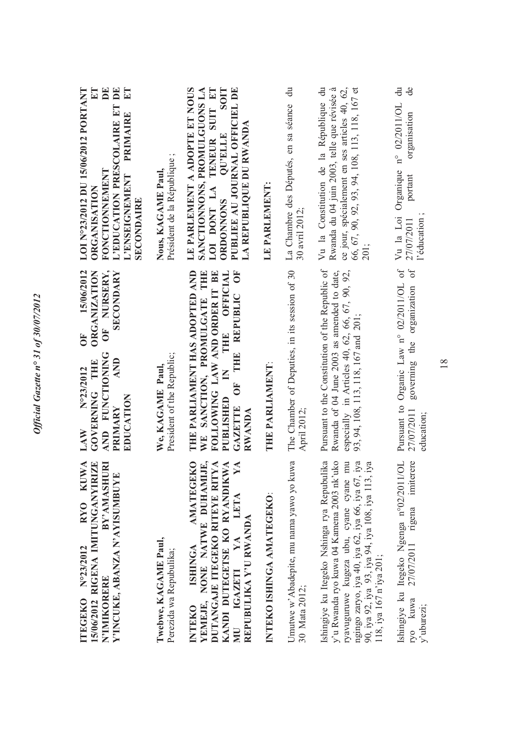| LOI N°23/2012 DU 15/06/2012 PORTANT<br>ET<br>DE<br>L'EDUCATION PRESCOLAIRE ET DE<br>$E$ T<br>PRIMAIRE<br>FONCTIONNEMENT<br>L'ENSEIGNEMENT<br><b>ORGANISATION</b><br><b>SECONDAIRE</b> | $\cdot$ $\circ$<br>Président de la République<br>Nous, KAGAME Paul, | LE PARLEMENT A ADOPTE ET NOUS<br>SANCTIONNONS, PROMULGUONS LA<br>LOI DONT LA TENEUR SUIT ET<br><b>SOIT</b><br>PUBLIEE AU JOURNAL OFFICIEL DE<br>LA REPUBLIQUE DU RWANDA<br><b>OU'ELLE</b><br><b>ORDONNONS</b> | LE PARLEMENT:             | $\ddot{a}$<br>La Chambre des Députés, en sa séance<br>30 avril 2012 | Vu la Constitution de la République du<br>Rwanda du 04 juin 2003, telle que révisée à<br>ce jour, spécialement en ses articles 40, 62,<br>66, 67, 90, 92, 93, 94, 108, 113, 118, 167 et<br>201;                                                                               | $\ddot{a}$<br>de<br>n° 02/2011/OL<br>organisation<br>Organique<br>portant<br>Vu la Loi<br>l'éducation<br>27/07/2011    |
|---------------------------------------------------------------------------------------------------------------------------------------------------------------------------------------|---------------------------------------------------------------------|---------------------------------------------------------------------------------------------------------------------------------------------------------------------------------------------------------------|---------------------------|---------------------------------------------------------------------|-------------------------------------------------------------------------------------------------------------------------------------------------------------------------------------------------------------------------------------------------------------------------------|------------------------------------------------------------------------------------------------------------------------|
| OF NURSERY,<br>15/06/2012<br><b>ORGANIZATION</b><br>SECONDARY<br>ð<br><b>AND FUNCTIONER</b><br>AND<br><b>GOVERNING THE</b><br>N°23/2012<br>EDUCATION<br>PRIMARY<br>LAW                | President of the Republic;<br>We. KAGAME Paul                       | THE PARLIAMENT HAS ADOPTED AND<br>WE SANCTION, PROMULGATE THE<br>OF THE REPUBLIC OF<br>THE OFFICIAL<br>FOLLOWING LAW AND ORDER IT BE<br>$\leq$<br>PUBLISHED<br><b>GAZETTE</b><br>RWANDA                       | THE PARLIAMENT:           | The Chamber of Deputies, in its session of 30<br>April 2012         | Pursuant to the Constitution of the Republic of<br>Rwanda of 04 June 2003 as amended to date,<br>especially in Articles 40, 62, 66, 67, 90, 92,<br>93, 94, 108, 113, 118, 167 and 201;                                                                                        | $0f$<br>$\sigma$<br>Organic Law n° 02/2011/OL<br>governing the organization<br>Pursuant to<br>27/07/2011<br>education; |
| <b>KUWA</b><br><b>ZE</b><br>BY'AMASHURI<br>Y'INCUKE, ABANZA N'AYISUMBUYE<br>15/06/2012 RIGENA IMITUNGANYIRI<br>RY <sub>0</sub><br>ITEGEKO Nº23/2012<br>N'IMIKORERE                    | Twebwe, KAGAME Paul,<br>Perezida wa Repubulika;                     | YEMEJE, NONE NATWE DUHAMIJE,<br><b>AMATEGEKO</b><br>DUTANGAJE ITEGEKO RITEYE RITYA<br>KANDI DUTEGETSE KO RYANDIKWA<br>YA<br>LETA<br>REPUBULIKA Y'U RWANDA<br>MU IGAZETI YA<br><b>ISHINGA</b><br>INTEKO        | INTEKO ISHINGA AMATEGEKO: | Umutwe w'Abadepite, mu nama yawo yo kuwa<br>30 Mata 2012;           | y'u Rwanda ryo kuwa 04 Kamena 2003 nk'uko<br>Ishingiye ku Itegeko Nshinga rya Repubulika<br>mu<br>ngingo zaryo, iya 40, iya 62, iya 66, iya 67, iya<br>iya<br>90, iya 92, iya 93, iya 94, iya 108, iya 113,<br>ryavuguruwe kugeza ubu, cyane cyane<br>118, iya 167 n'iya 201; | Ishingiye ku Itegeko Ngenga n°02/2011/OL<br>imiterere<br>27/07/2011 rigena<br>ryo kuwa<br>y'uburezi;                   |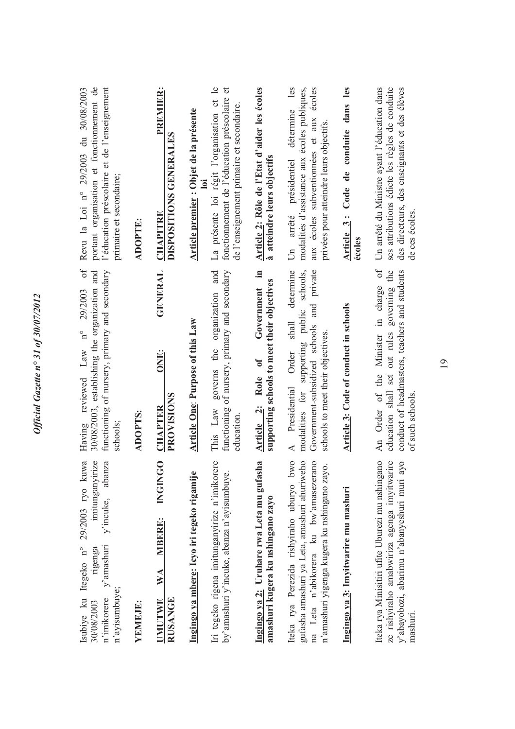| portant organisation et fonctionnement de<br>l'éducation préscolaire et de l'enseignement<br>Revu la Loi nº 29/2003 du 30/08/2003<br>primaire et secondaire;<br>of<br>29/2003 | <b>ADOPTE:</b> | <b>PREMIER:</b><br>DISPOSITIONS GENERALES<br><b>CHAPITRE</b><br><b>GENERAL</b> | Article premier : Objet de la présente<br>$\overline{\mathbf{a}}$ | La présente loi régit l'organisation et le<br>fonctionnement de l'éducation préscolaire et<br>de l'enseignement primaire et secondaire.<br>organization and | Article 2: Rôle de l'Etat d'aider les écoles<br>à atteindre leurs objectifs<br>$\equiv$      | les<br>écoles<br>modalités d'assistance aux écoles publiques,<br>détermine<br>aux écoles subventionnées et aux<br>privées pour atteindre leurs objectifs<br>présidentiel<br>arrêté<br>$\overline{5}$<br>determine<br>and private<br>schools, | Article 3: Code de conduite dans les<br>écoles | Un arrêté du Ministre avant l'éducation dans<br>ses attributions édicte les règles de conduite<br>des directeurs, des enseignants et des élèves<br>de ces écoles.<br>0f |
|-------------------------------------------------------------------------------------------------------------------------------------------------------------------------------|----------------|--------------------------------------------------------------------------------|-------------------------------------------------------------------|-------------------------------------------------------------------------------------------------------------------------------------------------------------|----------------------------------------------------------------------------------------------|----------------------------------------------------------------------------------------------------------------------------------------------------------------------------------------------------------------------------------------------|------------------------------------------------|-------------------------------------------------------------------------------------------------------------------------------------------------------------------------|
| 30/08/2003, establishing the organization and<br>functioning of nursery, primary and secondary<br>$n^{\circ}$<br>Having reviewed Law<br>schools;                              | ADOPTS:        | ONE:<br>PROVISIONS<br><b>CHAPTER</b>                                           | <b>Article One: Purpose of this Law</b>                           | functioning of nursery, primary and secondary<br>governs the<br>This Law<br>education                                                                       | supporting schools to meet their objectives<br>Government<br>$\mathbf{0}$<br>Article 2: Role | modalities for supporting public<br>shall<br>Government-subsidized schools<br>schools to meet their objectives.<br>Order<br>Presidential<br>$\blacktriangleleft$                                                                             | <b>Article 3: Code of conduct in schools</b>   | education shall set out rules governing the<br>conduct of headmasters, teachers and students<br>An Order of the Minister in charge<br>of such schools.                  |
| Isubiye ku Itegeko nº 29/2003 ryo kuwa<br>imitunganyirize<br>y'incuke, abanza<br>$v$ 'amashuri<br>rigenga<br>n'ayisumbuye;<br>n'imikorere<br>30/08/2003                       | YEMEJE:        | <b>INGINGO</b><br><b>MBERE:</b><br>WA<br>RUSANGE<br><b>UMUTWE</b>              | Ingingo ya mbere: Icyo iri tegeko rigamije                        | Iri tegeko rigena imitunganyirize n'imikorere<br>by'amashuri y'incuke, abanza n'ayisumbuye                                                                  | Ingingo ya 2: Uruhare rwa Leta mu gufasha<br>amashuri kugera ku nshingano zayo               | gufasha amashuri ya Leta, amashuri ahuriweho<br>na Leta n'abikorera ku bw'amasezerano<br>Iteka rya Perezida rishyiraho uburyo bwo<br>n'amashuri yigenga kugera ku nshingano zayo.                                                            | Ingingo ya 3: Imyitwarire mu mashuri           | Iteka rya Minisitiri ufite Uburezi mu nshingano<br>ze rishyiraho amabwiriza agenga imyitwarire<br>y'abayobozi, abarimu n'abanyeshuri muri ayo<br>mashuri                |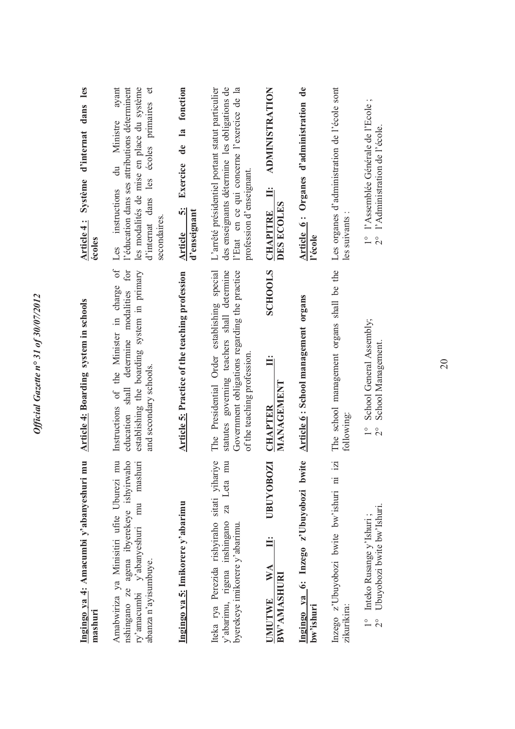| mu<br>Ingingo ya 4: Amacumbi y'abanyeshuri<br>mashuri                                                                                                          | <b>Article 4: Boarding system in schools</b>                                                                                                                               | Système d'internat dans les<br>Article 4:<br>écoles                                                                                                                                               |
|----------------------------------------------------------------------------------------------------------------------------------------------------------------|----------------------------------------------------------------------------------------------------------------------------------------------------------------------------|---------------------------------------------------------------------------------------------------------------------------------------------------------------------------------------------------|
| nshingano ze agena ibyerekeye ishyirwaho<br>mashuri<br>mu<br>Amabwiriza ya Minisitiri ufite Uburezi<br>mu<br>ry'amacumbi y'abanyeshuri<br>abanza n'ayisumbuye. | Instructions of the Minister in charge of<br>education shall determine modalities for<br>establishing the boarding system in primary<br>and secondary schools.             | l'éducation dans ses attributions déterminent<br>ayant<br>les modalités de mise en place du système<br>d'internat dans les écoles primaires et<br>du Ministre<br>Les instructions<br>secondaires. |
| Ingingo ya 5: Imikorere y'abarimu                                                                                                                              | Article 5: Practice of the teaching profession                                                                                                                             | fonction<br>$\overline{\mathbf{a}}$<br>$\mathbf{d}\mathbf{e}$<br>Exercice<br>$\ddot{\delta}$<br>d'enseignant<br>Article                                                                           |
| Iteka rya Perezida rishyiraho sitati yihariye<br>mu<br>za Leta<br>y'abarimu, rigena inshingano<br>byerekeye imikorere y'abarimu.                               | The Presidential Order establishing special<br>statutes governing teachers shall determine<br>Government obligations regarding the practice<br>of the teaching profession. | L'arrêté présidentiel portant statut particulier<br>des enseignants détermine les obligations de<br>l'Etat en ce qui concerne l'exercice de la<br>profession d'enseignant.                        |
| $\overline{\mathbf{Z}}$<br>UBUYOBO<br>$\mathbf{W} \mathbf{A}$<br>BW'AMASHURI<br><b>UMUTWE</b>                                                                  | <b>SCHOOLS</b><br>MANAGEMENT<br><b>CHAPTER</b>                                                                                                                             | <b>ADMINISTRATION</b><br>Ë<br>DES ECOLES<br><b>CHAPITRE</b>                                                                                                                                       |
| Ingingo ya 6: Inzego z'Ubuyobozi bwite<br>bw'ishuri                                                                                                            | Article 6: School management organs                                                                                                                                        | Article 6: Organes d'administration de<br>l'école                                                                                                                                                 |
| $\ddot{z}$<br>Inzego z'Ubuyobozi bwite bw'ishuri ni<br>zikurikira:                                                                                             | The school management organs shall be the<br>following:                                                                                                                    | Les organes d'administration de l'école sont<br>les suivants                                                                                                                                      |
| Ubuyobozi bwite bw'Ishuri.<br>Inteko Rusange y'Ishuri;<br>$\overline{2}^{\circ}$                                                                               | School General Assembly;<br>School Management.<br>$\frac{1}{1}$<br>$\overline{2}^{\circ}$                                                                                  | 1° l'Assemblée Générale de l'Ecole;<br>l'Administration de l'école.<br>$\frac{1}{2}$                                                                                                              |
|                                                                                                                                                                |                                                                                                                                                                            |                                                                                                                                                                                                   |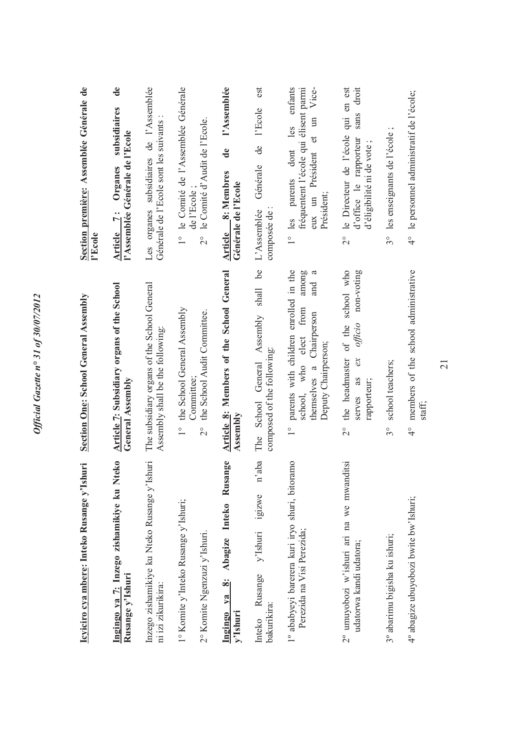| Icyiciro cya mbere: Inteko Rusange y'Ishuri                                        | Section One: School General Assembly                                                                                                                                               | Section première: Assemblée Générale de<br>l'Ecole                                                                                    |
|------------------------------------------------------------------------------------|------------------------------------------------------------------------------------------------------------------------------------------------------------------------------------|---------------------------------------------------------------------------------------------------------------------------------------|
| Ingingo ya 7: Inzego zishamikiye ku Nteko<br>Rusange y'Ishuri                      | Article 7: Subsidiary organs of the School<br>General Assembly                                                                                                                     | $\mathbf{d}\mathbf{e}$<br>subsidiaires<br>l'Assemblée Générale de l'Ecole<br>Organes<br>Article 7:                                    |
| Inzego zishamikiye ku Nteko Rusange y'Ishuri<br>ni izi zikurikira:                 | The subsidiary organs of the School General<br>Assembly shall be the following:                                                                                                    | Les organes subsidiaires de l'Assemblée<br>Générale de l'Ecole sont les suivants :                                                    |
| 1° Komite y'Inteko Rusange y'Ishuri;<br>2° Komite Ngenzuzi y'Ishuri.               | the School General Assembly<br>the School Audit Committee.<br>Committee:<br>$\frac{1}{\sqrt{2}}$<br>$\overline{c}$                                                                 | le Comité de l'Assemblée Générale<br>le Comité d'Audit de l'Ecole.<br>de l'Ecole<br>$\frac{1}{1}$<br>$\overset{\circ}{\sim}$          |
| <b>ge</b><br>Abagize Inteko Rusan<br>$\ddot{\mathbf{z}}$<br>Ingingo ya<br>y'Ishuri | Article 8: Members of the School General<br>Assembly                                                                                                                               | l'Assemblée<br>$\mathbf{d}\mathbf{e}$<br>Article 8: Membres<br>Générale de l'Ecole                                                    |
| n'aba<br>igizwe<br>y'Ishuri<br>Rusange<br>bakurikira:<br>Inteko                    | <u>be</u><br>shall<br>School General Assembly<br>composed of the following:<br>The                                                                                                 | est<br>l'Ecole<br>de<br>Générale<br>L'Assemblée<br>composée de                                                                        |
| 1° ababyeyi barerera kuri iryo shuri, bitoramo<br>Perezida na Visi Perezida;       | parents with children enrolled in the<br>$\mathfrak{a}$<br>among<br>and<br>from<br>themselves a Chairperson<br>elect<br>Deputy Chairperson;<br>school, who<br>$\frac{1}{\sqrt{2}}$ | enfants<br>Vice-<br>fréquentent l'école qui élisent parmi<br>et un<br>les<br>dont<br>eux un Président<br>1° les parents<br>Président; |
| 2° umuyobozi w'ishuri ari na we mwanditsi<br>udatorwa kandi udatora;               | school who<br>non-voting<br>the headmaster of the<br>officio<br>$\alpha$<br>serves as<br>rapporteur;<br>$\overset{\circ}{\sim}$                                                    | qui en est<br>sans droit<br>le Directeur de l'école<br>d'office le rapporteur<br>d'éligibilité ni de vote<br>$\frac{1}{2}$            |
| 3° abarimu bigisha ku ishuri;                                                      | school teachers;<br>$3^{\circ}$                                                                                                                                                    | les enseignants de l'école;<br>$3^\circ$                                                                                              |
| 4° abagize ubuyobozi bwite bw'Ishuri;                                              | members of the school administrative<br>staff;<br>$\frac{1}{4}$                                                                                                                    | 4° le personnel administratif de l'école;                                                                                             |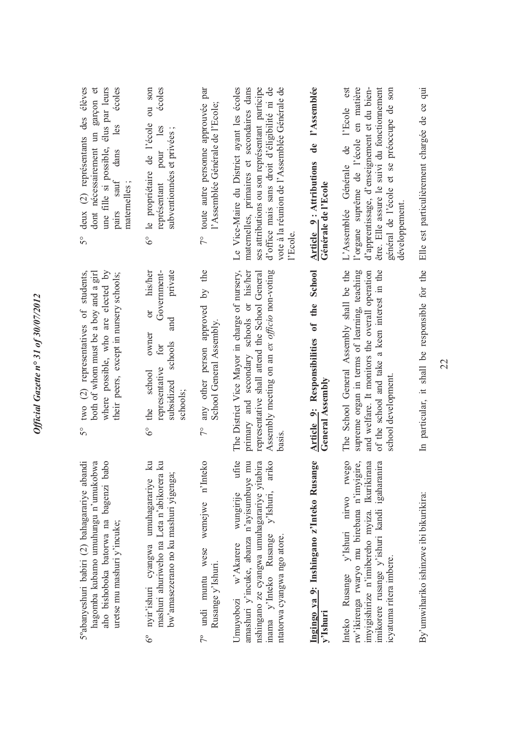| deux (2) représentants des élèves<br>dont nécessairement un garçon et<br>élus par leurs<br>écoles<br>les<br>une fille si possible,<br>dans<br>sauf<br>maternelles;<br>pairs<br>S° | écoles<br>ou son<br>le propriétaire de l'école<br>les<br>subventionnées et privées;<br>pour<br>représentant<br>$6^\circ$                              | 7° toute autre personne approuvée par<br>l'Assemblée Générale de l'Ecole;                    | Le Vice-Maire du District ayant les écoles<br>d'office mais sans droit d'éligibilité ni de<br>maternelles, primaires et secondaires dans<br>ses attributions ou son représentant participe<br>vote à la réunion de l'Assemblée Générale de<br>l'Ecole | de l'Assemblée<br>Article 9: Attributions<br>Générale de l'Ecole | l'organe suprême de l'école en matière<br>d'apprentissage, d'enseignement et du bien-<br>être. Elle assure le suivi du fonctionnement<br>est<br>général de l'école et se préoccupe de son<br>l'Ecole<br>L'Assemblée Générale de<br>développement. | Elle est particulièrement chargée de ce qui    |
|-----------------------------------------------------------------------------------------------------------------------------------------------------------------------------------|-------------------------------------------------------------------------------------------------------------------------------------------------------|----------------------------------------------------------------------------------------------|-------------------------------------------------------------------------------------------------------------------------------------------------------------------------------------------------------------------------------------------------------|------------------------------------------------------------------|---------------------------------------------------------------------------------------------------------------------------------------------------------------------------------------------------------------------------------------------------|------------------------------------------------|
| two (2) representatives of students,<br>where possible, who are elected by<br>both of whom must be a boy and a girl<br>their peers, except in nursery schools;<br>$5^{\circ}$     | his/her<br>private<br>Government-<br>öľ<br>and<br>owner<br>schools<br>for<br>representative<br>school<br>subsidized<br>schools;<br>the<br>$6^\circ$   | the<br>$\overline{5}$<br>any other person approved<br>School General Assembly.<br>$\sqrt{2}$ | The District Vice Mayor in charge of nursery,<br>primary and secondary schools or his/her<br>Assembly meeting on an ex <i>officio</i> non-voting<br>representative shall attend the School General<br>basis                                           | Article 9: Responsibilities of the School<br>General Assembly    | The School General Assembly shall be the<br>supreme organ in terms of learning, teaching<br>of the school and take a keen interest in the<br>and welfare. It monitors the overall operation<br>school development                                 | In particular, it shall be responsible for the |
| 5°abanyeshuri babiri (2) bahagarariye abandi<br>aho bishoboka batorwa na bagenzi babo<br>hagomba kubamo umuhungu n'umukobwa<br>uretse mu mashuri y'incuke;                        | $\mathbb{R}$<br>mashuri ahuriweho na Leta n'abikorera ku<br>bw'amasezerano no ku mashuri yigenga;<br>nyir'ishuri cyangwa umuhagarariye<br>$6^{\circ}$ | wemejwe n'Inteko<br>7° undi muntu wese<br>Rusange y'Ishuri.                                  | ufite<br>mu<br>nshingano ze cyangwa umuhagarariye yitabira<br>ariko<br>amashuri y'incuke, abanza n'ayisumbuye<br>y'Ishuri,<br>wungirije<br>inama y'Inteko Rusange<br>ntatorwa cyangwa ngo atore.<br>Umuyobozi w'Akarere                               | Ingingo ya 9: Inshingano z'Inteko Rusange<br>y'Ishuri            | rwego<br>rw'ikirenga rwaryo mu birebana n'imyigire,<br>imyigishirize n'imibereho myiza. Ikurikirana<br>imikorere rusange y'ishuri kandi igaharanira<br>y'Ishuri nirwo<br>icyatuma ritera imbere.<br>Inteko Rusange                                | By'umwihariko ishinzwe ibi bikurikira:         |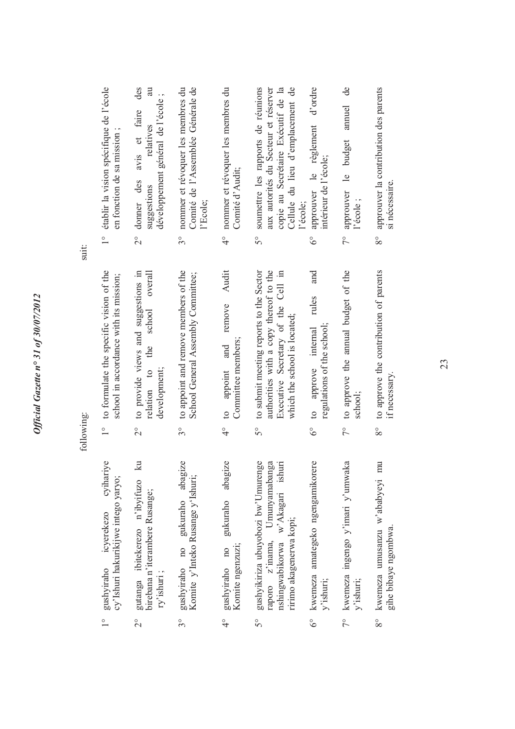|            | établir la vision spécifique de l'école<br>en fonction de sa mission;<br>$\frac{1}{1}$        | des<br>m<br>développement général de l'école;<br>avis et faire<br>relatives<br>donner des<br>suggestions<br>$\frac{1}{2}$ | nommer et révoquer les membres du<br>Comité de l'Assemblée Générale de<br>l'Ecole;<br>$3^\circ$ | 4° nommer et révoquer les membres du<br>Comité d'Audit;                   | Cellule du lieu d'emplacement de<br>soumettre les rapports de réunions<br>copie au Secrétaire Exécutif de la<br>aux autorités du Secteur et réserver<br>l'école;<br>50 | d'ordre<br>approuver le règlement<br>intérieur de l'école;<br>$\delta^{\circ}$ | $\overline{d}$ e<br>annuel<br>approuver le budget<br>l'école;<br>$\tilde{7}^{\circ}$ | approuver la contribution des parents<br>si nécessaire.<br>$8^{\circ}$              |
|------------|-----------------------------------------------------------------------------------------------|---------------------------------------------------------------------------------------------------------------------------|-------------------------------------------------------------------------------------------------|---------------------------------------------------------------------------|------------------------------------------------------------------------------------------------------------------------------------------------------------------------|--------------------------------------------------------------------------------|--------------------------------------------------------------------------------------|-------------------------------------------------------------------------------------|
| suit:      |                                                                                               |                                                                                                                           |                                                                                                 |                                                                           |                                                                                                                                                                        |                                                                                |                                                                                      |                                                                                     |
|            | 1° to formulate the specific vision of the<br>school in accordance with its mission;          | to provide views and suggestions in<br>overall<br>school<br>the<br>relation to<br>development;                            | to appoint and remove members of the<br>School General Assembly Committee;                      | Audit<br>remove<br>Committee members;<br>and<br>appoint<br>$\overline{c}$ | to submit meeting reports to the Sector<br>authorities with a copy thereof to the<br>Executive Secretary of the Cell in<br>which the school is located;                | and<br>rules<br>regulations of the school;<br>approve internal<br>$\circ$      | to approve the annual budget of the<br>school;                                       | to approve the contribution of parents<br>if necessary.                             |
| following: |                                                                                               | $\frac{1}{2}$                                                                                                             | $3^{\circ}$                                                                                     | $\frac{1}{4}$                                                             | $5^{\circ}$                                                                                                                                                            | $\delta^{\circ}$                                                               | $\overline{7}^{\circ}$                                                               | $8^{\circ}$                                                                         |
|            | cyihariye<br>cy'Ishuri hakurikijwe intego yaryo;<br>icyerekezo<br>gushyiraho<br>$\frac{1}{1}$ | $\mathbb{R}$<br>gutanga ibitekerezo n'ibyifuzo<br>birebana n'iterambere Rusange;<br>ry'ishuri;<br>$\frac{1}{2}$           | gushyiraho no gukuraho abagize<br>Komite y'Inteko Rusange y'Ishuri;<br>$3^{\circ}$              | abagize<br>gukuraho<br>Komite ngenzuzi;<br>gushyiraho no<br>$\frac{1}{4}$ | 1g <sub>c</sub><br>nga<br>w'Akagari ishuri<br>gushyikiriza ubuyobozi bw'Umurer<br>Umunyamabar<br>ririmo akagenerwa kopi;<br>raporo z'inama,<br>nshingwabikorwa<br>5°   | 6° kwemeza amategeko ngengamikorere<br>y'ishuri;                               | 7° kwemeza ingengo y'imari y'umwaka<br>y'ishuri;                                     | $\overline{m}$<br>kwemeza umusanzu w'ababyeyi<br>gihe bibaye ngombwa<br>$8^{\circ}$ |
|            |                                                                                               |                                                                                                                           |                                                                                                 |                                                                           |                                                                                                                                                                        |                                                                                |                                                                                      |                                                                                     |

Official Gazette nº 31 of 30/07/2012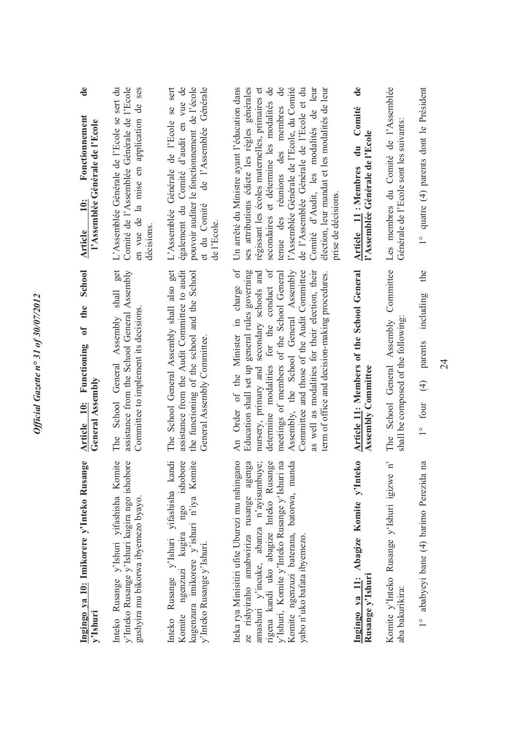| de<br>Fonctionnement<br>l'Assemblée Générale de l'Ecole<br>$\ddot{=}$<br><b>Article</b> | Comité de l'Assemblée Générale de l'Ecole<br>L'Assemblée Générale de l'Ecole se sert du<br>en vue de la mise en application de ses<br>décisions          | L'Assemblée Générale de l'Ecole se sert<br>pouvoir auditer le fonctionnement de l'école<br>également du Comité d'audit en vue de<br>de l'Assemblée Générale<br>et du Comité<br>de l'Ecole. | Un arrêté du Ministre ayant l'éducation dans<br>secondaires et détermine les modalités de<br>tenue des réunions des membres de<br>l'Assemblée Générale de l'Ecole, du Comité<br>ses attributions édicte les règles générales<br>régissant les écoles maternelles, primaires et<br>de l'Assemblée Générale de l'Ecole et du<br>Comité d'Audit, les modalités de leur<br>élection, leur mandat et les modalités de leur<br>prise de décisions. | $\mathbf{d}\mathbf{e}$<br>Comité<br>l'Assemblée Générale de l'Ecole<br>$\mathbf{d}\mathbf{u}$<br>Article 11: Membres | Les membres du Comité de l'Assemblée<br>Générale de l'Ecole sont les suivants:    | 1° quatre (4) parents dont le Président    |
|-----------------------------------------------------------------------------------------|----------------------------------------------------------------------------------------------------------------------------------------------------------|--------------------------------------------------------------------------------------------------------------------------------------------------------------------------------------------|----------------------------------------------------------------------------------------------------------------------------------------------------------------------------------------------------------------------------------------------------------------------------------------------------------------------------------------------------------------------------------------------------------------------------------------------|----------------------------------------------------------------------------------------------------------------------|-----------------------------------------------------------------------------------|--------------------------------------------|
| School<br>the<br>$\overline{\mathbf{a}}$<br>Article 10: Functioning<br>General Assembly | get<br>assistance from the School General Assembly<br>$\ensuremath{\text{shall}}$<br>Committee to implement its decisions<br>The School General Assembly | The School General Assembly shall also get<br>assistance from the Audit Committee to audit<br>the functioning of the school and the School<br>General Assembly Committee.                  | An Order of the Minister in charge of<br>determine modalities for the conduct of<br>Education shall set up general rules governing<br>Assembly, the School General Assembly<br>as well as modalities for their election, their<br>nursery, primary and secondary schools and<br>meetings of members of the School General<br>Committee and those of the Audit Committee<br>term of office and decision-making procedures.                    | Article 11: Members of the School General<br><b>Assembly Committee</b>                                               | Committee<br>shall be composed of the following<br>School General Assembly<br>The | the<br>including<br>1° four $(4)$ parents  |
| Ingingo ya 10: Imikorere y'Inteko Rusange<br>y'Ishuri                                   | Inteko Rusange y'Ishuri yifashisha Komite<br>y'Inteko Rusange y'Ishuri kugira ngo ishobore<br>gushyira mu bikorwa ibyemezo byayo.                        | Inteko Rusange y'Ishuri yifashisha kandi<br>Komite ngenzuzi kugira ngo ishobore<br>kugenzura imikorere y'ishuri n'iya Komite<br>y'Inteko Rusange y'Ishuri.                                 | Iteka rya Minisitiri ufite Uburezi mu nshingano<br>$\ln a$<br>Komite ngenzuzi baterana, batorwa, manda<br>ze rishyiraho amabwiriza rusange agenga<br>amashuri y'incuke, abanza n'ayisumbuye;<br>rigena kandi uko abagize Inteko Rusange<br>y'Ishuri, Komite y'Inteko Rusange y'Ishuri<br>yabo n'uko bafata ibyemezo.                                                                                                                         | Ingingo ya 11: Abagize Komite y'Inteko<br>Rusange y'Ishuri                                                           | $\mathbf{p}$<br>Komite y'Inteko Rusange y'Ishuri igizwe<br>aba bakurikira:        | na<br>1° ababyeyi bane (4) barimo Perezida |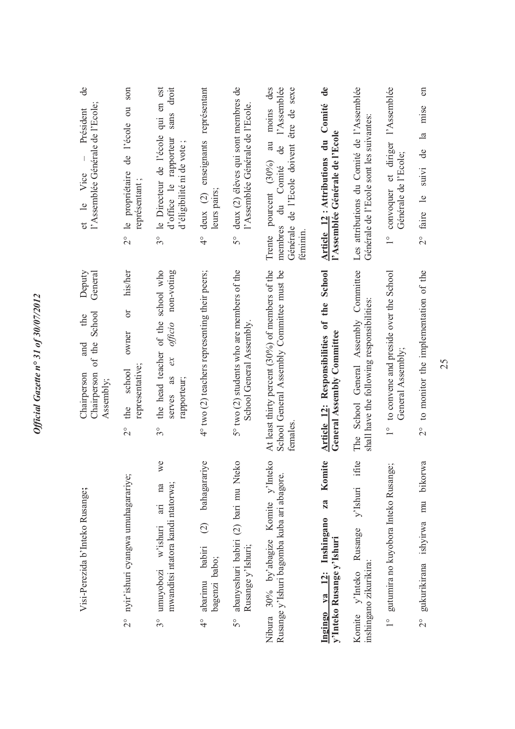| e<br>l'Assemblée Générale de l'Ecole;<br>Président<br>et le Vice                            | son<br>de l'école ou<br>le propriétaire<br>représentant;<br>$\overset{\circ}{\sim}$ | le Directeur de l'école qui en est<br>droit<br>sans<br>d'office le rapporteur<br>d'éligibilité ni de vote<br>$3^\circ$ | deux (2) enseignants représentant<br>leurs pairs;<br>$\frac{1}{4}$                   | deux (2) élèves qui sont membres de<br>l'Assemblée Générale de l'Ecole.<br>$5^{\circ}$ | moins des<br>l'Assemblée<br>être de sexe<br>a<br>Générale de l'Ecole doivent<br>de<br>Trente pourcent (30%)<br>du Comité<br>membres<br>féminin | Article 12: Attributions du Comité de<br>l'Assemblée Générale de l'Ecole        | Les attributions du Comité de l'Assemblée<br>Générale de l'Ecole sont les suivantes: | convoquer et diriger l'Assemblée<br>Générale de l'Ecole;<br>$\frac{1}{1}$   | $2^{\circ}$ faire le suivi de la mise en |
|---------------------------------------------------------------------------------------------|-------------------------------------------------------------------------------------|------------------------------------------------------------------------------------------------------------------------|--------------------------------------------------------------------------------------|----------------------------------------------------------------------------------------|------------------------------------------------------------------------------------------------------------------------------------------------|---------------------------------------------------------------------------------|--------------------------------------------------------------------------------------|-----------------------------------------------------------------------------|------------------------------------------|
| Deputy<br>General<br>of the School<br>the<br>and<br>Chairperson<br>Chairperson<br>Assembly; | his/her<br>$\sigma$<br>owner<br>representative;<br>school<br>the<br>$\frac{1}{2}$   | non-voting<br>the head teacher of the school who<br>of ficio<br>$\alpha$<br>as<br>rapporteur;<br>serves<br>$3^{\circ}$ | 4° two (2) teachers representing their peers;                                        | 5° two (2) students who are members of the<br>School General Assembly.                 | At least thirty percent (30%) of members of the<br>School General Assembly Committee must be<br>temales                                        | Article 12: Responsibilities of the School<br><b>General Assembly Committee</b> | The School General Assembly Committee<br>shall have the following responsibilities:  | to convene and preside over the School<br>General Assembly<br>$\frac{1}{1}$ | 2° to monitor the implementation of the  |
| Visi-Perezida b'Inteko Rusange;                                                             | 2° nyir'ishuri cyangwa umuhagarariye;                                               | we<br>mwanditsi ntatora kandi ntatorwa;<br>na<br>in<br>w'ishuri<br>umuyobozi<br>$3^{\circ}$                            | bahagarariye<br>$\widehat{c}$<br>babiri<br>bagenzi babo;<br>abarimu<br>$\frac{1}{4}$ | abanyeshuri babiri (2) bari mu Nteko<br>Rusange y'Ishuri;<br>5°                        | Nibura 30% by'abagize Komite y'Inteko<br>Rusange y'Ishuri bagomba kuba ari abagore.                                                            | Komite<br>za<br>Ingingo ya 12: Inshingano<br>y'Inteko Rusange y'Ishuri          | ifite<br>y'Ishuri<br>Rusange<br>inshingano zikurikira:<br>Komite y'Inteko            | gutumira no kuyobora Inteko Rusange;<br>$\frac{1}{1}$                       | bikorwa<br>2° gukurikirana ishyirwa mu   |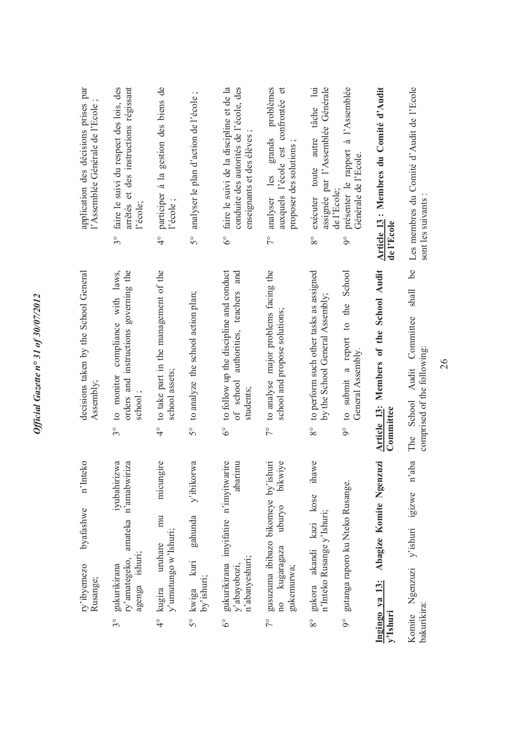| application des décisions prises par<br>l'Assemblée Générale de l'Ecole | faire le suivi du respect des lois, des<br>arrêtés et des instructions régissant<br>l'école;<br>$3^{\circ}$ | participer à la gestion des biens de<br>l'école<br>$\frac{1}{4}$              | analyser le plan d'action de l'école;<br>$5^{\circ}$ | conduite des autorités de l'école, des<br>faire le suivi de la discipline et de la<br>enseignants et des élèves<br>$6^{\circ}$ | problèmes<br>auxquels l'école est confrontée et<br>analyser les grands<br>proposer des solutions<br>$\tilde{7}^{\circ}$ | autre tâche lui<br>assignée par l'Assemblée Générale<br>exécuter toute<br>de l'Ecole;<br>$8^{\circ}$ | présenter le rapport à l'Assemblée<br>Générale de l'Ecole.<br>$\delta$ | Article 13 : Membres du Comité d'Audit<br>de l'Ecole    | Les membres du Comité d'Audit de l'Ecole<br>sont les suivants                        |
|-------------------------------------------------------------------------|-------------------------------------------------------------------------------------------------------------|-------------------------------------------------------------------------------|------------------------------------------------------|--------------------------------------------------------------------------------------------------------------------------------|-------------------------------------------------------------------------------------------------------------------------|------------------------------------------------------------------------------------------------------|------------------------------------------------------------------------|---------------------------------------------------------|--------------------------------------------------------------------------------------|
| decisions taken by the School General<br>Assembly;                      | orders and instructions governing the<br>compliance with laws,<br>to monitor<br>school;<br>$3^{\circ}$      | to take part in the management of the<br>school assets;<br>$\frac{1}{4}$      | 5° to analyze the school action plan;                | to follow up the discipline and conduct<br>and<br>authorities, teachers<br>of school<br>students;<br>$\delta^{\circ}$          | to analyse major problems facing the<br>school and propose solutions;<br>$\frac{1}{2}$                                  | to perform such other tasks as assigned<br>by the School General Assembly;<br>$8^{\circ}$            | to submit a report to the School<br>General Assembly.<br>$9^{\circ}$   | Members of the School Audit<br>Article 13:<br>Committee | 6 <sup>o</sup><br>shall<br>The School Audit Committee<br>comprised of the following: |
| n'Inteko<br>byafashwe<br>ry'ibyemezo<br>Rusange;                        | iyubahirizwa<br>n'amabwiriza<br>ry'amategeko, amateka<br>agenga ishuri;<br>gukurikirana<br>$3^{\circ}$      | micungire<br>mu<br>y'umutungo w'Ishuri;<br>uruhare<br>kugira<br>$\frac{1}{4}$ | y'ibikorwa<br>gahunda<br>5° kwiga kuri<br>by'ishuri; | gukurikirana imyifatire n'imyitwarire<br>abarimu<br>n'abanyeshuri;<br>y'abayobozi,<br>$6^\circ$                                | gusuzuma ibibazo bikomeye by'ishuri<br>bikwiye<br>uburyo<br>no kugaragaza<br>gukemurwa;<br>$7^{\circ}$                  | ihawe<br>gukora akandi kazi kose<br>n'Inteko Rusange y'Ishuri;<br>$8^{\circ}$                        | gutanga raporo ku Nteko Rusange.<br>$9^\circ$                          | Abagize Komite Ngenzuzi<br>Ingingo ya 13:<br>y'Ishuri   | y'ishuri igizwe n'aba<br>Ngenzuzi<br>bakurikira:<br>Komite                           |

Official Gazette nº 31 of 30/07/2012 *Official Gazette n° 31 of 30/07/2012*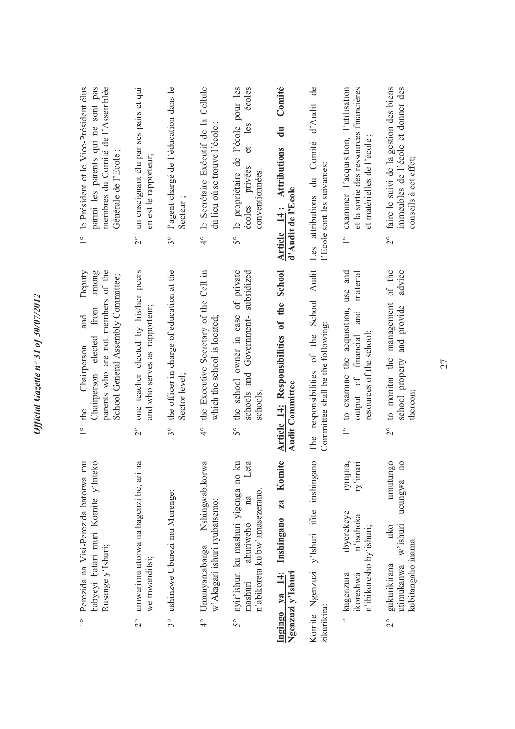| 1° le Président et le Vice-Président élus<br>parmi les parents qui ne sont pas<br>membres du Comité de l'Assemblée<br>Générale de l'Ecole;                                  | un enseignant élu par ses pairs et qui<br>en est le rapporteur;<br>$\overset{\circ}{\sim}$       | l'agent chargé de l'éducation dans le<br>Secteur;<br>$3^{\circ}$          | le Secrétaire Exécutif de la Cellule<br>du lieu où se trouve l'école;<br>$\frac{1}{4}$  | le propriétaire de l'école pour les<br>écoles<br>les<br>đ<br>écoles privées<br>conventionnées.<br>5°                          | Comité<br>$\ddot{a}$<br>Article 14: Attributions<br>d'Audit de l'Ecole | $\mathbf{d}\mathbf{e}$<br>d'Audit<br>Les attributions du Comité<br>l'Ecole sont les suivantes: | examiner l'acquisition, l'utilisation<br>et la sortie des ressources financières<br>et matérielles de l'école<br>$\frac{1}{1}$ | faire le suivi de la gestion des biens<br>immeubles de l'école et donner des<br>conseils à cet effet;<br>$\frac{1}{2}$         |
|-----------------------------------------------------------------------------------------------------------------------------------------------------------------------------|--------------------------------------------------------------------------------------------------|---------------------------------------------------------------------------|-----------------------------------------------------------------------------------------|-------------------------------------------------------------------------------------------------------------------------------|------------------------------------------------------------------------|------------------------------------------------------------------------------------------------|--------------------------------------------------------------------------------------------------------------------------------|--------------------------------------------------------------------------------------------------------------------------------|
| Deputy<br>parents who are not members of the<br>among<br>School General Assembly Committee;<br>from<br>and<br>elected<br>Chairperson<br>Chairperson<br>the<br>$\frac{1}{1}$ | one teacher elected by his/her peers<br>and who serves as rapporteur;<br>$\overset{\circ}{\sim}$ | the officer in charge of education at the<br>Sector level:<br>$3^{\circ}$ | the Executive Secretary of the Cell in<br>which the school is located;<br>$\frac{1}{4}$ | the school owner in case of private<br>schools and Government-subsidized<br>schools<br>$5^{\circ}$                            | Article 14: Responsibilities of the School<br><b>Audit Committee</b>   | Audit<br>School<br>Committee shall be the following:<br>The responsibilities of the            | use and<br>material<br>1° to examine the acquisition,<br>and<br>output of financial<br>resources of the school;                | of the<br>advice<br>to monitor the management<br>school property and provide<br>thereon;<br>$\frac{1}{2}$                      |
| Perezida na Visi-Perezida batorwa mu<br>babyeyi batari muri Komite y'Inteko<br>Rusange y'Ishuri;<br>$\frac{1}{2}$                                                           | umwarimu utorwa na bagenzi be, ari na<br>we mwanditsi;<br>$\frac{1}{2}$                          | ushinzwe Uburezi mu Murenge;<br>$3^\circ$                                 | Nshingwabikorwa<br>w'Akagari ishuri ryubatsemo;<br>Umunyamabanga<br>$\frac{6}{4}$       | $\overline{a}$<br>Leta<br>nyir'ishuri ku mashuri yigenga no l<br>n'abikorera ku bw'amasezerano.<br>ahuriweho<br>mashuri<br>5° | Komite<br>za<br>Inshingano<br>Ingingo va 14:<br>Ngenzuzi y'Ishuri      | Komite Ngenzuzi y'Ishuri ifite inshingano<br>zikurikira:                                       | iyinjira,<br>ry'imari<br>ibyerekeye<br>n'isohoka<br>n'ibikoresho by'ishuri;<br>1° kugenzura<br>ikoreshwa                       | umutungo<br>$\overline{a}$<br>ucungwa<br>w'ishuri<br>uko<br>kubitangaho inama;<br>gukurikirana<br>utimukanwa<br>$\overline{C}$ |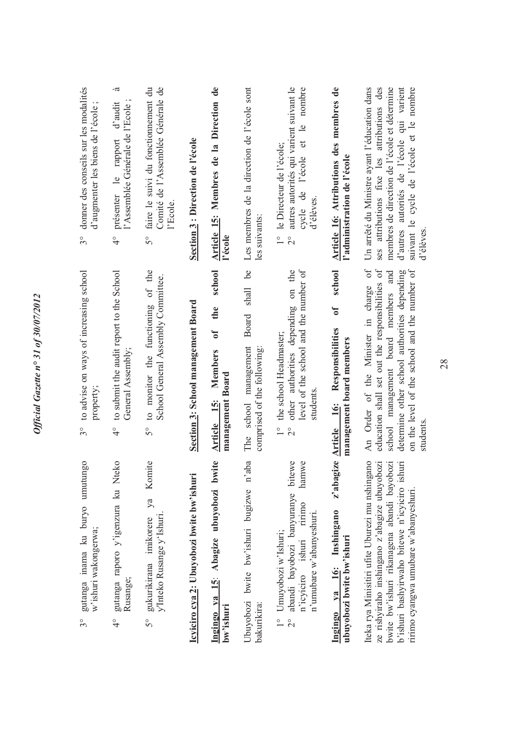| donner des conseils sur les modalités<br>d'augmenter les biens de l'école<br>$3^{\circ}$ | .ದ<br>d'audit<br>l'Assemblée Générale de l'Ecole<br>présenter le rapport<br>$\frac{1}{4}$ | faire le suivi du fonctionnement du<br>Comité de l'Assemblée Générale de<br>l'Ecole.<br>5°        | Section 3 : Direction de l'école          | Article 15: Membres de la Direction de<br>l'école                             | Les membres de la direction de l'école sont<br>les suivants:                           | autres autorités qui varient suivant le<br>nombre<br>et le<br>1° le Directeur de l'école;<br>cycle de l'école<br>d'élèves.<br>$\overline{c}$         | Article 16: Attributions des membres de<br>l'administration de l'école                  | ses attributions fixe les attributions des<br>Un arrêté du Ministre ayant l'éducation dans<br>membres de direction de l'école et détermine<br>d'autres autorités de l'école qui varient<br>suivant le cycle de l'école et le nombre<br>d'élèves      |
|------------------------------------------------------------------------------------------|-------------------------------------------------------------------------------------------|---------------------------------------------------------------------------------------------------|-------------------------------------------|-------------------------------------------------------------------------------|----------------------------------------------------------------------------------------|------------------------------------------------------------------------------------------------------------------------------------------------------|-----------------------------------------------------------------------------------------|------------------------------------------------------------------------------------------------------------------------------------------------------------------------------------------------------------------------------------------------------|
| to advise on ways of increasing school<br>property;<br>$3^{\circ}$                       | to submit the audit report to the School<br>General Assembly;<br>$\frac{1}{4}$            | to monitor the functioning of the<br>School General Assembly Committee.<br>$\overline{5}^{\circ}$ | Section 3: School management Board        | school<br>the<br>$\mathfrak{b}$<br>Members<br>management Board<br>Article 15: | be<br>shall<br><b>Board</b><br>school management<br>comprised of the following:<br>The | level of the school and the number of<br>other authorities depending on the<br>the school Headmaster;<br>students.<br>$\frac{1}{1}$<br>$\frac{1}{2}$ | school<br>$\mathfrak{h}$<br>Responsibilities<br>management board members<br>Article 16: | $\sigma$<br>education shall set out the responsibilities of<br>on the level of the school and the number of<br>determine other school authorities depending<br>school management board members and<br>An Order of the Minister in charge<br>students |
| gutanga inama ku buryo umutungo<br>w'ishuri wakongerwa;<br>$3^{\circ}$                   | gutanga raporo y'igenzura ku Nteko<br>Rusange;<br>$\frac{1}{4}$                           | Komite<br>ya<br>y'Inteko Rusange y'Ishuri.<br>gukurikirana imikorere<br>5°                        | Icyiciro cya 2: Ubuyobozi bwite bw'ishuri | Ingingo ya 15: Abagize ubuyobozi bwite<br>bw'ishuri                           | Ubuyobozi bwite bw'ishuri bugizwe n'aba<br>bakurikira:                                 | hamwe<br>bitewe<br>abandi bayobozi banyuranye<br>ririmo<br>n'umubare w'abanyeshuri.<br>Umuyobozi w'Ishuri;<br>n'icyiciro ishuri                      | z'abagize<br>Ingingo ya 16: Inshingano<br>ubuyobozi bwite bw'ishuri                     | Iteka rya Minisitiri ufite Uburezi mu nshingano<br>ze rishyiraho inshingano z'abagize ubuyobozi<br>bwite bw'ishuri rikanagena abandi bayobozi<br>b'ishuri bashyirwaho bitewe n'icyiciro ishuri<br>ririmo cyangwa umubare w'abanyeshuri               |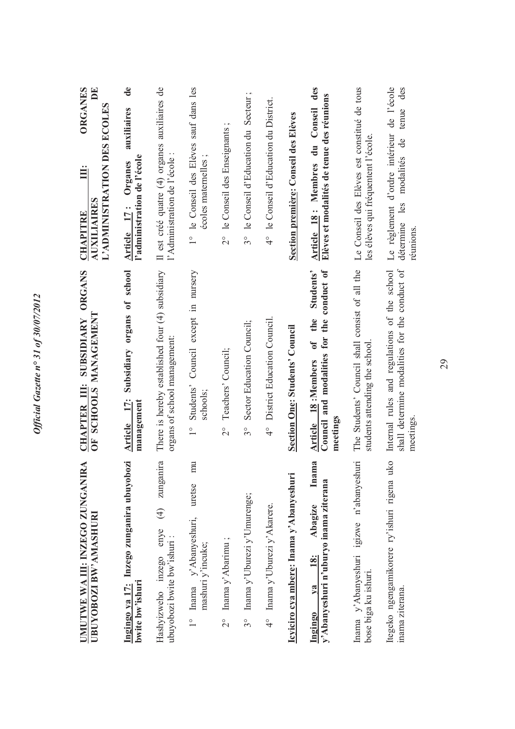| RA<br><b>UMUTWE WA III: INZEGO ZUNGANI</b><br><b>UBUYOBOZI BW'AMASHURI</b>              | ORGANS<br>OF SCHOOLS MANAGEMENT<br>CHAPTER III: SUBSIDIARY                                                                       | <b>ORGANES</b><br>$\mathbf{E}$<br>L'ADMINISTRATION DES ECOLES<br>Ë<br><b>AUXILIAIRES</b><br><b>CHAPITRE</b> |
|-----------------------------------------------------------------------------------------|----------------------------------------------------------------------------------------------------------------------------------|-------------------------------------------------------------------------------------------------------------|
| Ingingo ya 17: Inzego zunganira ubuyobozi<br>bwite bw'ishuri                            | Subsidiary organs of school<br>Article 17:<br>management                                                                         | de<br>auxiliaires<br>l'administration de l'école<br>Organes<br>Article 17:                                  |
| zunganira<br>$\bigoplus$<br>enye<br>ubuyobozi bwite bw'ishuri:<br>Hashvizweho inzego    | There is hereby established four (4) subsidiary<br>organs of school management:                                                  | Il est créé quatre (4) organes auxiliaires de<br>l'Administration de l'école:                               |
| mu<br>uretse<br>1° Inama y'Abanyeshuri,<br>mashuri y'incuke;                            | Council except in nursery<br>Students'<br>schools;<br>$\frac{1}{1}$                                                              | 1° le Conseil des Elèves sauf dans les<br>$\cdot$ $\circ$<br>écoles maternelles                             |
| $2^{\circ}$ Inama y'Abarimu;                                                            | Teachers' Council;<br>$\frac{1}{2}$                                                                                              | $\cdot$ $\circ$<br>2° le Conseil des Enseignants                                                            |
| Inama y'Uburezi y'Umurenge;<br>$3^{\circ}$                                              | Sector Education Council;<br>$3^{\circ}$                                                                                         | le Conseil d'Education du Secteur;<br>$3^\circ$                                                             |
| 4° Inama y'Uburezi y'Akarere.                                                           | District Education Council<br>$\frac{1}{4}$                                                                                      | 4° le Conseil d'Education du District.                                                                      |
| Icyiciro cya mbere: Inama y'Abanyeshuri                                                 | <b>Section One: Students' Council</b>                                                                                            | Section première: Conseil des Elèves                                                                        |
| ma<br>Ina<br>y'Abanyeshuri n'uburyo inama ziterana<br>Abagize<br>18:<br>$V2$<br>Ingingo | conduct of<br>Students'<br>the<br>Council and modalities for the<br>$\mathfrak{o}\mathfrak{f}$<br>Article 18:Members<br>meetings | des<br>Elèves et modalités de tenue des réunions<br>Article 18: Membres du Conseil                          |
| Inama y'Abanyeshuri igizwe n'abanyeshuri<br>bose biga ku ishuri.                        | The Students' Council shall consist of all the<br>students attending the school                                                  | Le Conseil des Elèves est constitué de tous<br>les élèves qui fréquentent l'école.                          |
| uko<br>Itegeko ngengamikorere ry'ishuri rigena<br>inama ziterana.                       | Internal rules and regulations of the school<br>shall determine modalities for the conduct of<br>meetings.                       | Le règlement d'ordre intérieur de l'école<br>des<br>tenue<br>modalités de<br>détermine les<br>réumions.     |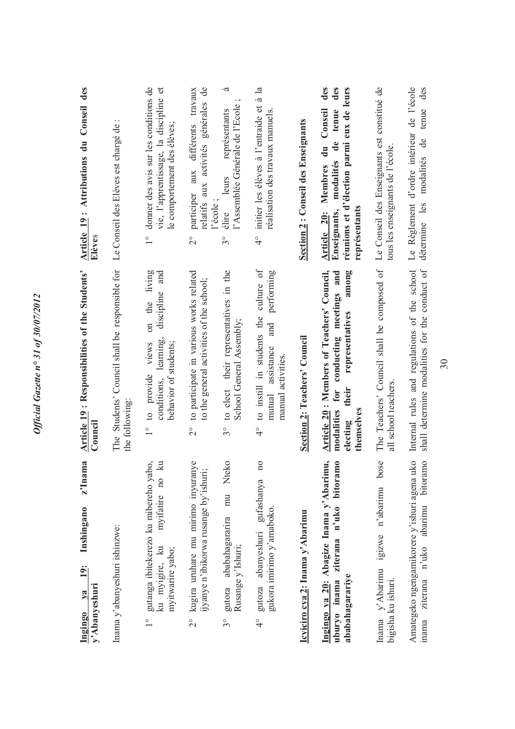| ma<br>$z$ <sup><math>\ln a</math></sup><br>Inshingano<br>$\frac{19}{1}$<br>y'Abanyeshuri<br>$va$<br>Ingingo                         | <b>Article 19: Responsibilities of the Students'</b><br>Council                                                                                       | Conseil des<br>Article 19: Attributions du<br>Elèves                                                                                                           |
|-------------------------------------------------------------------------------------------------------------------------------------|-------------------------------------------------------------------------------------------------------------------------------------------------------|----------------------------------------------------------------------------------------------------------------------------------------------------------------|
| Inama y'abanyeshuri ishinzwe:                                                                                                       | The Students' Council shall be responsible for<br>the following                                                                                       | Le Conseil des Elèves est chargé de :                                                                                                                          |
| gutanga ibitekerezo ku mibereho yabo,<br>$\mathbb{R}$<br>myifatire no<br>ku myigire, ku<br>myitwarire yabo;<br>$\frac{1}{\sqrt{2}}$ | living<br>and<br>discipline<br>on the<br>conditions, learning,<br>behavior of students;<br>views<br>to provide<br>$\frac{1}{1}$                       | donner des avis sur les conditions de<br>vie, l'apprentissage, la discipline et<br>le comportement des élèves;<br>$\overset{\circ}{\phantom{0}}$               |
| kugira uruhare mu mirimo inyuranye<br>ijyanye n'ibikorwa rusange by'ishuri;<br>$\frac{1}{2}$                                        | to participate in various works related<br>to the general activities of the school;<br>$\overline{\Omega}$                                            | $\mathbf{d}\mathbf{e}$<br>participer aux différents travaux<br>relatifs aux activités générales<br>l'école<br>$\overset{\circ}{\sim}$                          |
| mu Nteko<br>gutora ababahagararira<br>Rusange y'Ishuri;<br>$3^{\circ}$                                                              | to elect their representatives in the<br>School General Assembly;<br>$3^{\circ}$                                                                      | -ದ<br>l'Assemblée Générale de l'Ecole<br>représentants<br>élire leurs<br>$\frac{1}{3}$                                                                         |
| $\overline{n}$<br>gufashanya<br>gukora imirimo y'amaboko.<br>gutoza abanyeshuri<br>$\frac{1}{4}$                                    | culture of<br>performing<br>to instill in students the<br>and<br>assistance<br>manual activities<br>$\operatorname{mutual}$<br>$\frac{1}{4}$          | $\mathbf{a}$<br>initier les élèves à l'entraide et à<br>réalisation des travaux manuels.<br>$\frac{1}{4}$                                                      |
| Icyiciro cya 2: Inama y'Abarimu                                                                                                     | <b>Section 2: Teachers' Council</b>                                                                                                                   | Section 2: Conseil des Enseignants                                                                                                                             |
| Ingingo ya 20: Abagize Inama y'Abarimu,<br>ziterana n'uko bitoramo<br>ababahagarariye<br>uburyo inama                               | Article 20: Members of Teachers' Council,<br>conducting meetings and<br>among<br>representatives<br>modalities for<br>their<br>themselves<br>electing | des<br>des<br>réunions et d'élection parmi eux de leurs<br>Conseil<br>tenue<br>de<br>ā<br>modalités<br>Membres<br>représentants<br>Enseignants,<br>Article 20: |
| bose<br>Inama y'Abarimu igizwe n'abarimu<br>bigisha ku ishuri.                                                                      | The Teachers' Council shall be composed of<br>all school teachers.                                                                                    | Le Conseil des Enseignants est constitué de<br>tous les enseignants de l'école.                                                                                |
| Amategeko ngengamikorere y'ishuri agena uko<br>bitoramo<br>abarimu<br>n'uko<br>ziterana<br>inama                                    | Internal rules and regulations of the school<br>shall determine modalities for the conduct of                                                         | Le Règlement d'ordre intérieur de l'école<br>des<br>tenue<br>$\mathbf{d}\mathbf{e}$<br>modalités<br>détermine les                                              |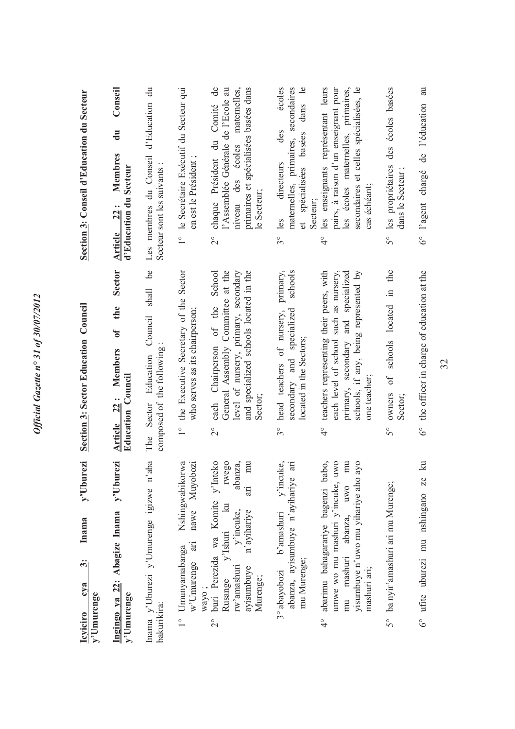| v'Uburezi<br>y'Uburezi<br>Inama y'Uburezi y'Umurenge igizwe n'aba<br>Ingingo ya 22: Abagize Inama<br>Inama<br>$\ddot{\cdot}$<br>cva<br>y'Umurenge<br>y'Umurenge<br><b>Icviciro</b>                                                                                                | <b>Sector</b><br><u>be</u><br>shall<br>Section 3: Sector Education Council<br>the<br>Council<br>$\mathbf{f}$<br>Article 22: Members<br>Sector Education<br>Education Council<br>The                                                                                                                                         | Conseil<br>d'Education du<br>Section 3: Conseil d'Education du Secteur<br>$\mathbf{u}$<br>Les membres du Conseil<br>Membres<br>d'Education du Secteur<br>Article $22:$                                                                                                                                                                  |
|-----------------------------------------------------------------------------------------------------------------------------------------------------------------------------------------------------------------------------------------------------------------------------------|-----------------------------------------------------------------------------------------------------------------------------------------------------------------------------------------------------------------------------------------------------------------------------------------------------------------------------|-----------------------------------------------------------------------------------------------------------------------------------------------------------------------------------------------------------------------------------------------------------------------------------------------------------------------------------------|
| 2° buri Perezida wa Komite y'Inteko<br>nawe Muyobozi<br>rwego<br>mu<br>Nshingwabikorwa<br>abanza,<br>iri<br>y'Ishuri ku<br>y'incuke,<br>n'ayihariye<br>in<br>Umunyamabanga<br>w'Umurenge<br>rw'amashuri<br>avisumbuye<br>Murenge;<br>Rusange<br>wayo;<br>bakurikira:              | School<br>General Assembly Committee at the<br>1° the Executive Secretary of the Sector<br>and specialized schools located in the<br>level of nursery, primary, secondary<br>of the<br>who serves as its chairperson;<br>each Chairperson<br>composed of the following<br>Sector;<br>$\overline{2}^{\circ}$                 | 1° le Secrétaire Exécutif du Secteur qui<br>chaque Président du Comité de<br>primaires et spécialisées basées dans<br>l'Assemblée Générale de l'Ecole au<br>maternelles,<br>niveau des écoles<br>en est le Président<br>Secteur sont les suivants :<br>le Secteur;<br>$\overline{2}^{\circ}$                                            |
| abarimu bahagarariye bagenzi babo,<br>yisumbuye n'uwo mu yihariye aho ayo<br>y'incuke,<br>umwe wo mu mashuri y'incuke, uwo<br>$\overline{m}$<br>an<br>abanza, ayisumbuye n'ayihariye<br>own<br>b'amashuri<br>abanza,<br>mu mashuri<br>mu Murenge;<br>3° abayobozi<br>mashuri ari; | primary,<br>teachers representing their peers, with<br>each level of school such as nursery,<br>schools<br>primary, secondary and specialized<br>schools, if any, being represented by<br>secondary and specialized<br>head teachers of nursery,<br>located in the Sectors;<br>one teacher;<br>$\frac{1}{4}$<br>$3^{\circ}$ | écoles<br>maternelles, primaires, secondaires<br>les enseignants représentant leurs<br>secondaires et celles spécialisées, le<br>dans le<br>les écoles maternelles, primaires,<br>pairs, à raison d'un enseignant pour<br>des<br>spécialisées basées<br>directeurs<br>cas échéant;<br>Secteur;<br>$3^{\circ}$ les<br>đ<br>$\frac{1}{4}$ |
| $\overline{\mathbf{a}}$<br>6° ufite uburezi mu nshingano ze<br>5° ba nyir'amashuri ari mu Murenge;                                                                                                                                                                                | 6° the officer in charge of education at the<br>of schools located in the<br>owners<br>Sector;<br>$5^{\circ}$                                                                                                                                                                                                               | 5° les propriétaires des écoles basées<br>6° l'agent chargé de l'éducation au<br>dans le Secteur                                                                                                                                                                                                                                        |
|                                                                                                                                                                                                                                                                                   |                                                                                                                                                                                                                                                                                                                             |                                                                                                                                                                                                                                                                                                                                         |

*Official Gazette n° 31 of 30/07/2012*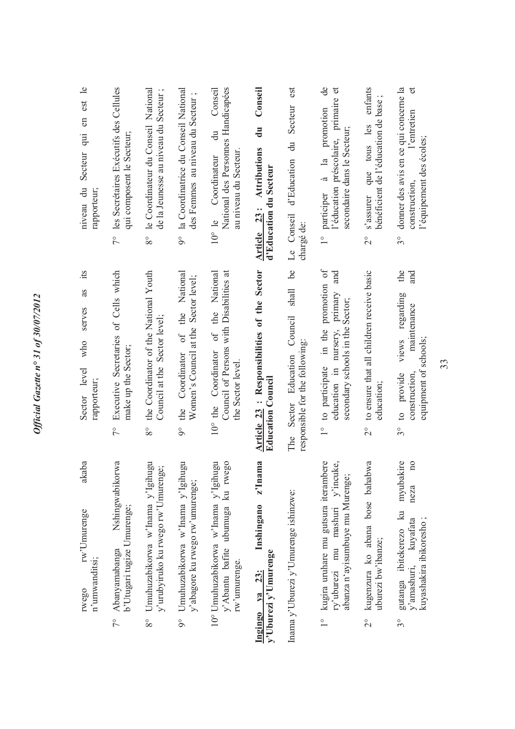| Secteur qui en est le<br>niveau du<br>rapporteur;<br>its | 7º les Secrétaires Exécutifs des Cellules<br>qui composent le Secteur;        | 8° le Coordinateur du Conseil National<br>de la Jeunesse au niveau du Secteur;        | 9º la Coordinatrice du Conseil National<br>des Femmes au niveau du Secteur;                   | National des Personnes Handicapées<br>Conseil<br>$\ddot{a}$<br>au niveau du Secteur.<br>10° le Coordinateur | Conseil<br>du<br>Article 23: Attributions<br>d'Education du Secteur     | est<br>Secteur<br>$\ddot{a}$<br>d'Education<br>Le Conseil<br>chargé de:<br>be | $\overline{d}$<br>l'éducation préscolaire, primaire et<br>à la promotion<br>secondaire dans le Secteur;<br>participer<br>$\frac{1}{1}$<br>and | enfants<br>bénéficient de l'éducation de base<br>s'assurer que tous les<br>$\overset{\circ}{\sim}$ | donner des avis en ce qui concerne la<br>$\sigma$<br>l'entretien<br>l'équipement des écoles;<br>construction,<br>$3^{\circ}$<br>the<br>and  |
|----------------------------------------------------------|-------------------------------------------------------------------------------|---------------------------------------------------------------------------------------|-----------------------------------------------------------------------------------------------|-------------------------------------------------------------------------------------------------------------|-------------------------------------------------------------------------|-------------------------------------------------------------------------------|-----------------------------------------------------------------------------------------------------------------------------------------------|----------------------------------------------------------------------------------------------------|---------------------------------------------------------------------------------------------------------------------------------------------|
| as<br>serves<br>who<br>Sector level<br>rapporteur;       | Executive Secretaries of Cells which<br>make up the Sector;<br>$\sqrt{\ }$    | the Coordinator of the National Youth<br>Council at the Sector level;<br>$8^{\circ}$  | Coordinator of the National<br>Women's Council at the Sector level;<br>the<br>$\delta$        | 10° the Coordinator of the National<br>Council of Persons with Disabilities at<br>the Sector level.         | Article 23 : Responsibilities of the Sector<br><b>Education Council</b> | shall<br>Council<br>responsible for the following:<br>Sector Education<br>The | in the promotion of<br>education in nursery, primary<br>secondary schools in the Sector;<br>to participate<br>$\frac{1}{1}$                   | to ensure that all children receive basic<br>education;<br>$\frac{1}{2}$                           | regarding<br>maintenance<br>views<br>equipment of schools;<br>construction,<br>to provide<br>$3^{\circ}$                                    |
| akaba<br>rw'Umurenge<br>n'umwanditsi;<br>rwego           | Nshingwabikorwa<br>b'Utugari tugize Umurenge;<br>Abanyamabanga<br>$7^{\circ}$ | Umuhuzabikorwa w'Inama y'Igihugu<br>y'urubyiruko ku rwego rw'Umurenge;<br>$8^{\circ}$ | Umuhuzabikorwa w'Inama y'Igihugu<br>y'abagore ku rwego rw'umurenge;<br>$\overline{9}^{\circ}$ | 10° Umuhuzabikorwa w'Inama y'Igihugu<br>90<br>y'Abantu bafite ubumuga ku rwe<br>rw'umurenge.                | z'Inama<br>Inshingano<br>y'Uburezi y'Umurenge<br>Ingingo ya 23:         | Inama y'Uburezi y'Umurenge ishinzwe:                                          | kugira uruhare mu gutsura iterambere<br>ry'uburezi mu mashuri y'incuke,<br>abanza n'ayisumbuye mu Murenge;<br>$\frac{0}{1}$                   | kugenzura ko abana bose bahabwa<br>uburezi bw'ibanze;<br>$\frac{1}{2}$                             | myubakire<br>$\overline{\mathbf{n}}$<br>neza<br>gutanga ibitekerezo ku<br>kuyashakira ibikoresho;<br>kuyafata<br>v'amashuri,<br>$3^{\circ}$ |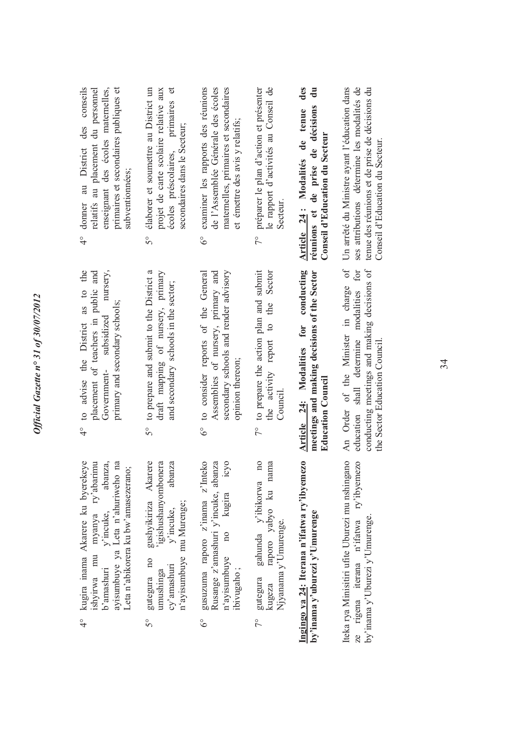- 4° kugira inama Akarere ku byerekeye ishyirwa mu myanya ry'abarimu b'amashuri y'incuke, abanza, ayisumbuye ya Leta n'ahuriweho na kugira inama Akarere ku byerekeye ishyirwa mu myanya ry'abarimu abanza, ayisumbuye ya Leta n'ahuriweho na Leta n'abikorera ku bw'amasezerano; Leta n'abikorera ku bw'amasezerano; y'incuke, b'amashuri  $\frac{1}{4}$
- 5° gutegura no gushyikiriza Akarere umushinga 'igishushanyombonera cy'amashuri y'incuke, abanza gushyikiriza Akarere igishushanyombonera abanza n'ayisumbuye mu Murenge; n'ayisumbuye mu Murenge; y'incuke, gutegura no cy'amashuri umushinga  $5^{\circ}$
- icyo 6° gusuzuma raporo z'inama z'Inteko Rusange z'amashuri y'incuke, abanza n'ayisumbuye no kugira icyo gusuzuma raporo z'inama z'Inteko Rusange z'amashuri y'incuke, abanza kugira  $\overline{10}$ n'ayisumbuye ibivugaho; ibivugaho ;  $6^\circ$
- 7° gutegura gahunda y'ibikorwa no kugeza raporo yabyo ku nama gahunda y'ibikorwa no raporo yabyo ku nama Njyanama y'Umurenge. Njyanama y'Umurenge. gutegura kugeza  $7^{\circ}$

Ingingo ya 24: Iterana n'ifatwa ry'ibyemezo **Ingingo ya 24: Iterana n'ifatwa ry'ibyemezo**  by'inama y'uburezi y'Umurenge **by'inama y'uburezi y'Umurenge** Iteka rya Minisitiri ufite Uburezi mu nshingano iterana n'ifatwa ry'ibyemezo Iteka rya Minisitiri ufite Uburezi mu nshingano ze rigena iterana n'ifatwa ry'ibyemezo by'inama y'Uburezi y'Umurenge. by'inama y'Uburezi y'Umurenge. ze rigena

- to advise the District as to the 4° to advise the District as to the placement of teachers in public and Government- subsidized nursery, placement of teachers in public and nursery, primary and secondary schools; primary and secondary schools; Government-subsidized  $\frac{1}{4}$
- to prepare and submit to the District a 5° to prepare and submit to the District a draft mapping of nursery, primary draft mapping of nursery, primary<br>and secondary schools in the sector; and secondary schools in the sector;  $5^{\circ}$
- 6° to consider reports of the General Assemblies of nursery, primary and secondary schools and render advisory to consider reports of the General Assemblies of nursery, primary and secondary schools and render advisory opinion thereon; opinion thereon;  $6^\circ$
- 7° to prepare the action plan and submit the activity report to the Sector the activity report to the Sector to prepare the action plan and submit Council.  $\frac{1}{2}$

Article 24: Modalities for conducting meetings and making decisions of the Sector **Article 24: Modalities for conducting meetings and making decisions of the Sector Education Council Education Council** 

education shall determine modalities for conducting meetings and making decisions of An Order of the Minister in charge of education shall determine modalities for conducting meetings and making decisions of the Sector Education Council. the Sector Education Council.

- 4° donner au District des conseils primaires et secondaires publiques et donner au District des conseils relatifs au placement du personnel relatifs au placement du personnel enseignant des écoles maternelles, primaires et secondaires publiques et enseignant des écoles maternelles, subventionnées: subventionnées;  $\frac{1}{4}$
- élaborer et soumettre au District un 5° élaborer et soumettre au District un projet de carte scolaire relative aux primaires et écoles préscolaires, primaires et projet de carte scolaire relative aux secondaires dans le Secteur; secondaires dans le Secteur; écoles préscolaires,  $5^{\circ}$
- maternelles, primaires et secondaires examiner les rapports des réunions 6° examiner les rapports des réunions de l'Assemblée Générale des écoles de l'Assemblée Générale des écoles maternelles, primaires et secondaires et émettre des avis y relatifs; et émettre des avis y relatifs;  $6^\circ$
- 7° préparer le plan d'action et présenter le rapport d'activités au Conseil de le rapport d'activités au Conseil de préparer le plan d'action et présenter Secteur.  $\sim$

**Article 24 : Modalités de tenue des**  Article 24: Modalités de tenue des **réunions et de prise de décisions du**  réunions et de prise de décisions du Conseil d'Education du Secteur **Conseil d'Education du Secteur**

ses attributions détermine les modalités de An Order of the Minister in charge of Un arrêté du Ministre ayant l'éducation dans Un arrêté du Ministre ayant l'éducation dans ses attributions détermine les modalités de tenue des réunions et de prise de décisions du tenue des réunions et de prise de décisions du Conseil d'Education du Secteur. Conseil d'Education du Secteur.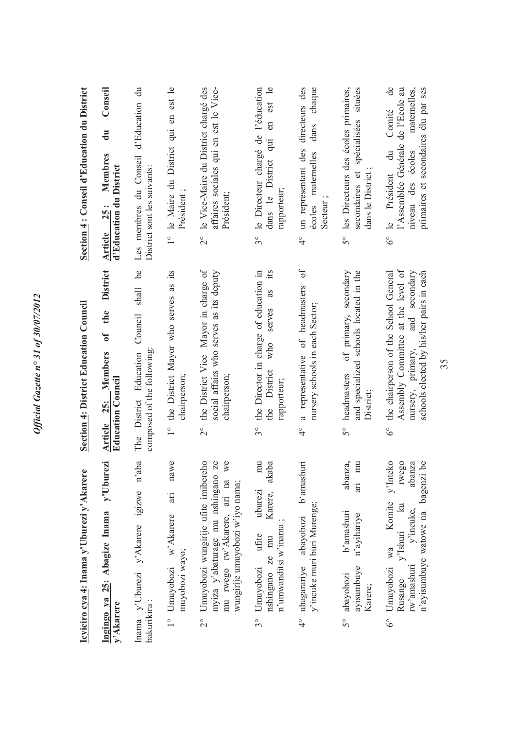| Section 4: Conseil d'Education du District | Conseil<br>$\mathbf{u}$<br>Membres<br>d'Education du District<br>Article 25:         | Les membres du Conseil d'Education du<br>District sont les suivants:     | 1° le Maire du District qui en est le<br>Président;                                    | 2° le Vice-Maire du District chargé des<br>affaires sociales qui en est le Vice-<br>Président;                                                                       | l'éducation<br>en est le<br>le Directeur chargé de<br>inb<br>dans le District<br>rapporteur;<br>$3^{\circ}$                  | directeurs des<br>chaque<br>dans<br>4° un représentant des<br>écoles maternelles<br>Secteur       | les Directeurs des écoles primaires,<br>secondaires et spécialisées situées<br>dans le District<br>50                | $\theta$<br>de l'Ecole au<br>primaires et secondaires élu par ses<br>maternelles,<br>Comité<br>l'Assemblée Générale<br>$\ddot{a}$<br>niveau des écoles<br>6° le Président |
|--------------------------------------------|--------------------------------------------------------------------------------------|--------------------------------------------------------------------------|----------------------------------------------------------------------------------------|----------------------------------------------------------------------------------------------------------------------------------------------------------------------|------------------------------------------------------------------------------------------------------------------------------|---------------------------------------------------------------------------------------------------|----------------------------------------------------------------------------------------------------------------------|---------------------------------------------------------------------------------------------------------------------------------------------------------------------------|
| Section 4: District Education Council      | <b>District</b><br>the<br>$\mathfrak{b}$<br>Article 25: Members<br>Education Council | Council shall be<br>The District Education<br>composed of the following: | the District Mayor who serves as its<br>chairperson;<br>$\overset{\circ}{\phantom{0}}$ | the District Vice Mayor in charge of<br>social affairs who serves as its deputy<br>chairperson;<br>$\frac{1}{2}$                                                     | its<br>the Director in charge of education in<br>as<br>serves<br>who<br>the District<br>rapporteur;<br>$3^{\circ}$           | $\sigma$ f<br>a representative of headmasters<br>nursery schools in each Sector;<br>$\frac{1}{4}$ | and specialized schools located in the<br>of primary, secondary<br>headmasters<br>District;<br>$\mathcal{S}^{\circ}$ | Assembly Committee at the level of<br>the chairperson of the School General<br>nursery, primary, and secondary<br>schools elected by his/her pairs in each<br>$6^\circ$   |
| Icyiciro cya 4: Inama y'Uburezi y'Akarere  | Ingingo ya 25: Abagize Inama y'Uburezi<br>y'Akarere                                  | Inama y'Uburezi y'Akarere igizwe n'aba<br>bakurikira:                    | nawe<br>$\ddot{a}$<br>1° Umuyobozi w'Akarere<br>muyobozi wayo;                         | Umuyobozi wungirije ufite imibereho<br>Ze<br>we<br>myiza y'abaturage mu nshingano<br>mu rwego rw'Akarere, ari na<br>wungirije umuyobozi w'iyo nama;<br>$\frac{1}{2}$ | $\overline{m}$<br>akaba<br>Karere,<br>uburezi<br>n'umwanditsi w'inama;<br>ufite<br>nshingano ze mu<br>Umuyobozi<br>$3^\circ$ | abayobozi b'amashuri<br>y'incuke muri buri Murenge;<br>4° uhagarariye                             | abanza,<br>$\overline{m}$<br>$rac{1}{2}$<br>b'amashuri<br>n'ayihariye<br>ayisumbuye<br>abayobozi<br>Karere;<br>50    | y'Inteko<br>rwego<br>abanza<br>be<br>n'ayisumbuye watowe na bagenzi<br>Komite<br>y'Ishuri ku<br>y'incuke,<br>wa<br>rw'amashuri<br>Umuyobozi<br>Rusange<br>್ರೆ             |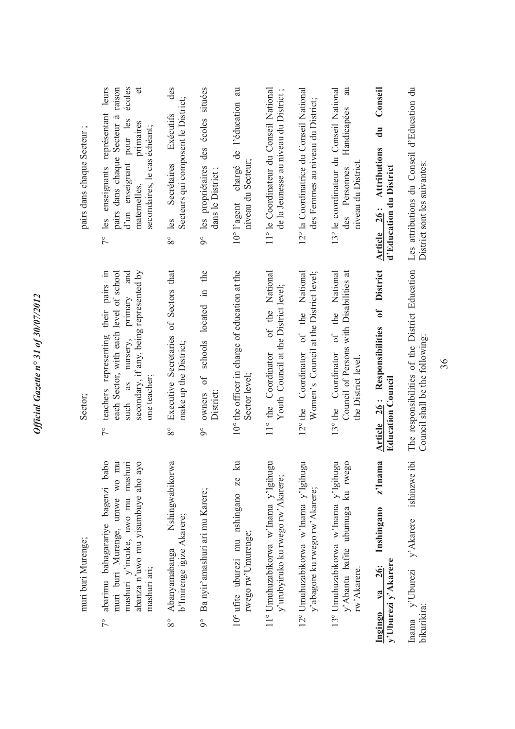| $\cdot$ $\cdot$<br>pairs dans chaque Secteur | 7° les enseignants représentant leurs<br>écoles<br>$\sigma$<br>pairs dans chaque Secteur à raison<br>d'un enseignant pour les<br>primaires<br>secondaires, le cas échéant;<br>maternelles,       | des<br>Secteurs qui composent le District;<br>Exécutifs<br>Secrétaires<br>$8^{\circ}$ les | 9° les propriétaires des écoles situées<br>dans le District; | chargé de l'éducation au<br>niveau du Secteur;<br>$10^{\circ}$ l'agent     | 11° le Coordinateur du Conseil National<br>de la Jeunesse au niveau du District; | 12° la Coordinatrice du Conseil National<br>des Femmes au niveau du District; | au<br>13° le coordinateur du Conseil National<br>Handicapées<br>niveau du District<br>des Personnes      | Conseil<br>$\mathbf{d}$ u<br>Article 26: Attributions<br>d'Education du District              | Les attributions du Conseil d'Education du<br>District sont les suivantes:        |
|----------------------------------------------|--------------------------------------------------------------------------------------------------------------------------------------------------------------------------------------------------|-------------------------------------------------------------------------------------------|--------------------------------------------------------------|----------------------------------------------------------------------------|----------------------------------------------------------------------------------|-------------------------------------------------------------------------------|----------------------------------------------------------------------------------------------------------|-----------------------------------------------------------------------------------------------|-----------------------------------------------------------------------------------|
| Sector;                                      | secondary, if any, being represented by<br>each Sector, with each level of school<br>teachers representing their pairs in<br>nursery, primary and<br>one teacher;<br>as<br>such<br>$\frac{1}{2}$ | Executive Secretaries of Sectors that<br>make up the District;<br>$8^{\circ}$             | owners of schools located in the<br>District;<br>$\delta$    | 10° the officer in charge of education at the<br>Sector level;             | of the National<br>Youth Council at the District level;<br>11° the Coordinator   | Women's Council at the District level;<br>12° the Coordinator of the National | Council of Persons with Disabilities at<br>of the National<br>13° the Coordinator<br>the District level. | <b>District</b><br>$\mathfrak{h}$<br>Article 26: Responsibilities<br><b>Education Council</b> | The responsibilities of the District Education<br>Council shall be the following: |
| muri buri Murenge;                           | abarimu bahagarariye bagenzi babo<br>mashuri y'incuke, uwo mu mashuri<br>muri buri Murenge, umwe wo mu<br>abanza n'uwo mu yisumbuye aho ayo<br>mashuri ari;<br>$7^{\circ}$                       | Nshingwabikorwa<br>b'Imirenge igize Akarere;<br>Abanyamabanga<br>$8^{\circ}$              | 9° Ba nyir'amashuri ari mu Karere;                           | $\mathbb{R}$<br>Ze<br>10° ufite uburezi mu nshingano<br>rwego rw'Umurenge; | mg<br>11° Umuhuzabikorwa w'Inama y'Igihu<br>y'urubyiruko ku rwego rw'Akarere;    | 12° Umuhuzabikorwa w'Inama y'Igihugu<br>y'abagore ku rwego rw'Akarere;        | 13° Umuhuzabikorwa w'Inama y'Igihugu<br>y'Abantu bafite ubumuga ku rwego<br>rw'Akarere.                  | z'Inama<br>Inshingano<br>y'Uburezi y'Akarere<br><b>26:</b><br>$y_a$<br>Ingingo                | ishinzwe ibi<br>y' Akarere<br>Inama y'Uburezi<br>bikurikira:                      |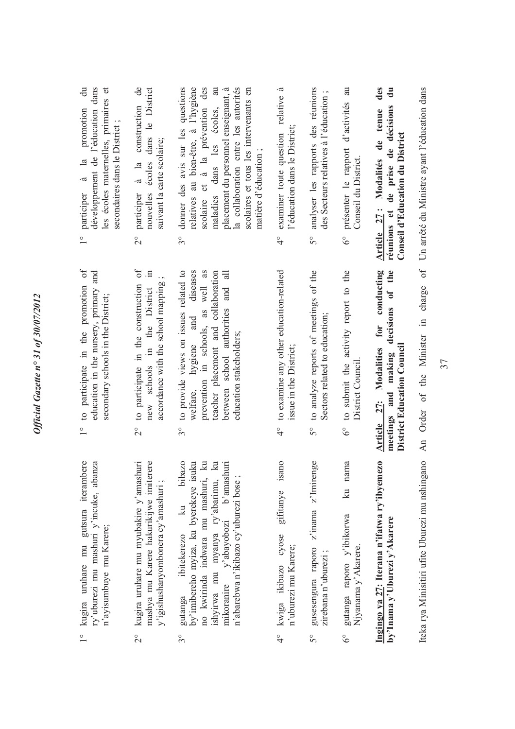|                                                                                                                                                                                                                                                                                                             | An Order of the Minister in charge of Un arrêté du Ministre ayant l'éducation dans                                                                                                                                     | Iteka rya Minisitiri ufite Uburezi mu nshingano                                                                                                                                                                                                                                            |
|-------------------------------------------------------------------------------------------------------------------------------------------------------------------------------------------------------------------------------------------------------------------------------------------------------------|------------------------------------------------------------------------------------------------------------------------------------------------------------------------------------------------------------------------|--------------------------------------------------------------------------------------------------------------------------------------------------------------------------------------------------------------------------------------------------------------------------------------------|
| des<br>$\ddot{a}$<br>réunions et de prise de décisions<br>Article 27: Modalités de tenue<br>Conseil d'Education du District                                                                                                                                                                                 | meetings and making decisions of the<br>for conducting<br>Article 27: Modalities<br>District Education Counci                                                                                                          | Ingingo ya 27: Iterana n'ifatwa ry'ibyemezo<br>by'Inama y'Uburezi y'Akarere                                                                                                                                                                                                                |
| présenter le rapport d'activités au<br>Conseil du District.<br>$\delta^{\circ}$                                                                                                                                                                                                                             | to submit the activity report to the<br>District Council.<br>$\delta^{\circ}$                                                                                                                                          | ku nama<br>gutanga raporo y'ibikorwa<br>Njyanama y'Akarere.<br>$\delta^{\circ}$                                                                                                                                                                                                            |
| analyser les rapports des réunions<br>des Secteurs relatives à l'éducation;<br>5°                                                                                                                                                                                                                           | 5° to analyze reports of meetings of the<br>Sectors related to education;                                                                                                                                              | z'inama z'Imirenge<br>gusesengura raporo<br>zirebana n'uburezi;<br>$\mathcal{S}^{\circ}$                                                                                                                                                                                                   |
| examiner toute question relative à<br>l'éducation dans le District;<br>$\frac{1}{4}$                                                                                                                                                                                                                        | to examine any other education-related<br>issue in the District;<br>$\frac{1}{4}$                                                                                                                                      | isano<br>gifitanye<br>kwiga ikibazo cyose<br>n'uburezi mu Karere;<br>$\frac{1}{4}$                                                                                                                                                                                                         |
| donner des avis sur les questions<br>relatives au bien-être, à l'hygiène<br>scolaire et à la prévention des<br>la collaboration entre les autorités<br>maladies dans les écoles, au<br>placement du personnel enseignant, à<br>scolaires et tous les intervenants en<br>matière d'éducation;<br>$3^{\circ}$ | 3° to provide views on issues related to<br>welfare, hygiene and diseases<br>prevention in schools, as well as<br>teacher placement and collaboration<br>between school authorities and all<br>education stakeholders; | bibazo<br>by'imibereho myiza, ku byerekeye isuku<br>$\mathbb{Z}$<br>$\mathbb{Z}$<br>mikoranire y'abayobozi b'amashuri<br>n'abarebwa n'ikibazo cy'uburezi bose;<br>no kwirinda indwara mu mashuri,<br>ishyirwa mu myanya ry'abarimu,<br>$\Xi$<br>ibitekerezo<br>gutanga<br>$\delta^{\circ}$ |
| participer à la construction de<br>nouvelles écoles dans le District<br>suivant la carte scolaire;<br>$\frac{1}{2}$                                                                                                                                                                                         | 2° to participate in the construction of<br>accordance with the school mapping<br>new schools in the District                                                                                                          | kugira uruhare mu myubakire y'amashuri<br>mashya mu Karere hakurikijwe imiterere<br>y'igishushanyombonera cy'amashuri ;<br>$\overline{2}^{\circ}$                                                                                                                                          |
| 1° participer à la promotion du<br>développement de l'éducation dans<br>les écoles matemelles, primaires et<br>secondaires dans le District;                                                                                                                                                                | to participate in the promotion of<br>education in the nursery, primary and<br>secondary schools in the District;<br>$\frac{1}{1}$                                                                                     | kugira uruhare mu gutsura iterambere<br>ry'uburezi mu mashuri y'incuke, abanza<br>n'ayisumbuye mu Karere;<br>$\frac{1}{1}$                                                                                                                                                                 |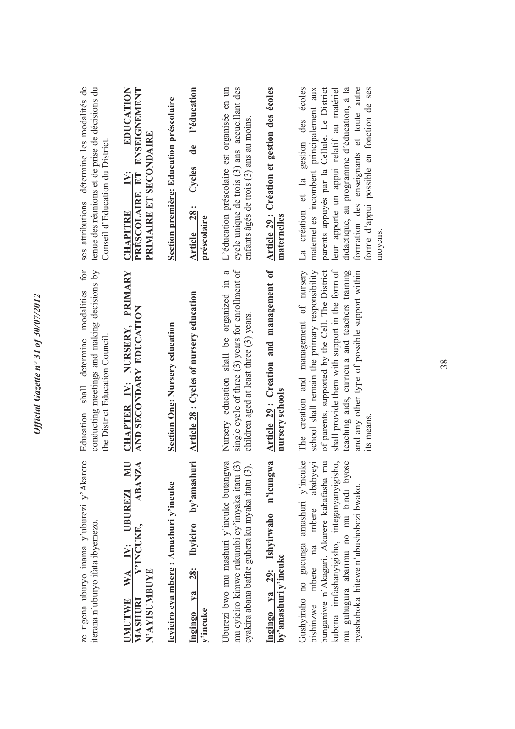| ses attributions détermine les modalités de<br>tenue des réunions et de prise de décisions du<br>Conseil d'Education du District. | EDUCATION<br>PRÉSCOLAIRE ET ENSEIGNEMENT<br>PRIMAIRE ET SECONDAIRE<br>i<br>N:<br><b>CHAPITRE</b>      | Section première: Education préscolaire | l'éducation<br>de<br>Cycles<br>Article 28:<br>préscolaire | cycle unique de trois (3) ans accueillant des<br>L'éducation préscolaire est organisée en un<br>enfants âgés de trois (3) ans au moins      | Article 29 : Création et gestion des écoles<br>maternelles  | La création et la gestion des écoles<br>parents appuyés par la Cellule. Le District<br>formation des enseignants et toute autre<br>forme d'appui possible en fonction de ses<br>didactique, au programme d'éducation, à la<br>leur apporte un appui relatif au matériel<br>maternelles incombent principalement aux<br>moyens. |
|-----------------------------------------------------------------------------------------------------------------------------------|-------------------------------------------------------------------------------------------------------|-----------------------------------------|-----------------------------------------------------------|---------------------------------------------------------------------------------------------------------------------------------------------|-------------------------------------------------------------|--------------------------------------------------------------------------------------------------------------------------------------------------------------------------------------------------------------------------------------------------------------------------------------------------------------------------------|
| conducting meetings and making decisions by<br>for<br>Education shall determine modalities<br>the District Education Council      | CHAPTER IV: NURSERY, PRIMARY<br>AND SECONDARY EDUCATION                                               | <b>Section One: Nursery education</b>   | Article 28 : Cycles of nursery education                  | single cycle of three (3) years for enrollment of<br>Nursery education shall be organized in a<br>children aged at least three (3) years.   | Article 29: Creation and management of<br>nursery schools   | shall provide them with support in the form of<br>The creation and management of nursery<br>school shall remain the primary responsibility<br>of parents, supported by the Cell. The District<br>teaching aids, curricula and teachers training<br>and any other type of possible support within<br>its means.                 |
| ze rigena uburyo inama y'uburezi y'Akarere<br>iterana n'uburyo ifata ibyemezo.                                                    | EZI MU<br>ABANZA<br><b>UBUREZI</b><br>Y'INCUKE,<br>WA IV:<br>N'AYISUMBUYE<br>MASHURI<br><b>UMUTWE</b> | Icyiciro cya mbere: Amashuri y'incuke   | 28: Ibyiciro by'amashuri<br>$Y2$<br>Ingingo<br>y'incuke   | Uburezi bwo mu mashuri y'incuke butangwa<br>mu cyiciro kimwe rukumbi cy'imyaka itatu (3)<br>cyakira abana bafite guhera ku myaka itatu (3). | Ingingo ya 29: Ishyirwaho n'icungwa<br>by'amashuri y'incuke | Gushyiraho no gucunga amashuri y'incuke<br>ababyeyi<br>kubona imfashanyigisho, integanyanyigisho,<br>mu guhugura abarimu no mu bindi byose<br>$\overline{m}$<br>bunganiwe n'Akagari. Akarere kabafasha<br>byashoboka bitewe n'ubushobozi bwako.<br>mbere<br>bishinzwe mbere na                                                 |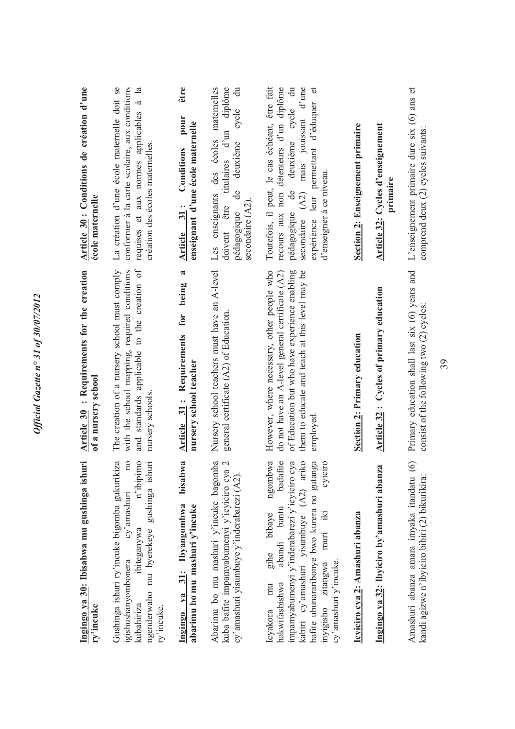| Ingingo ya 30: Ibisabwa mu gushinga ishuri<br>ry'incuke                                                                                                                                                                                                                                          | Article 30 : Requirements for the creation<br>of a nursery school                                                                                                                                            | Article 30 : Conditions de création d'une<br>école maternelle                                                                                                                                                                                                          |
|--------------------------------------------------------------------------------------------------------------------------------------------------------------------------------------------------------------------------------------------------------------------------------------------------|--------------------------------------------------------------------------------------------------------------------------------------------------------------------------------------------------------------|------------------------------------------------------------------------------------------------------------------------------------------------------------------------------------------------------------------------------------------------------------------------|
| $\overline{n}$<br>n'ibipimo<br>ngenderwaho mu byerekeye gushinga ishuri<br>Gushinga ishuri ry'incuke bigomba gukurikiza<br>cy'amashuri<br>ibiteganywa<br>igishushanyombonera<br>kubahiriza<br>ry'incuke.                                                                                         | and standards applicable to the creation of<br>The creation of a nursery school must comply<br>with the school mapping, required conditions<br>nursery schools.                                              | La création d'une école maternelle doit se<br>conformer à la carte scolaire, aux conditions<br>requises et aux normes applicables à la<br>création des écoles maternelles.                                                                                             |
| bisabwa<br>Ingingo ya 31: Ibyangombwa<br>abarimu bo mu mashuri y'incuke                                                                                                                                                                                                                          | $\overline{\mathbf{a}}$<br>being<br>for<br>Article 31: Requirements<br>nursery school teacher                                                                                                                | être<br>pour<br>enseignant d'une école maternelle<br>Conditions<br>Article 31:                                                                                                                                                                                         |
| Abarimu bo mu mashuri y'incuke bagomba<br>$\mathcal{L}$<br>kuba bafite impamyabumenyi y'icyiciro cya<br>cy'amashuri yisumbuye y'inderabarezi (A2).                                                                                                                                               | Nursery school teachers must have an A-level<br>general certificate (A2) of Education.                                                                                                                       | $\ddot{a}$<br>Les enseignants des écoles maternelles<br>titulaires d'un diplôme<br>cycle<br>deuxième<br>ප්<br>secondaire (A2).<br>doivent être<br>pédagogique                                                                                                          |
| kabiri cy'amashuri yisumbuye (A2) ariko<br>ngombwa<br>hakwifashishwa abandi bantu badafite<br>impamyabumenyi y'inderabarezi y'icyiciro cya<br>bafite ubunararibonye bwo kurera no gutanga<br>cyiciro<br>muri iki<br>gihe bibaye<br>inyigisho zitangwa<br>cy'amashuri y'incuke.<br>mu<br>Icyakora | However, where necessary, other people who<br>them to educate and teach at this level may be<br>of Education but who have experience enabling<br>do not have an A-level general certificate (A2)<br>employed | $(A2)$ mais jouissant d'une<br>être fait<br>recours aux non détenteurs d'un diplôme<br>deuxième cycle du<br>expérience leur permettant d'éduquer et<br>Toutefois, il peut, le cas échéant,<br>d'enseigner à ce niveau.<br>$\ddot{\theta}$<br>pédagogique<br>secondaire |
| Icyiciro cya 2: Amashuri abanza                                                                                                                                                                                                                                                                  | Section 2: Primary education                                                                                                                                                                                 | <b>Section 2: Enseignement primaire</b>                                                                                                                                                                                                                                |
| Ingingo ya 32: Ibyiciro by'amashuri abanza                                                                                                                                                                                                                                                       | Article 32: Cycles of primary education                                                                                                                                                                      | <b>Article 32: Cycles d'enseignement</b><br>primaire                                                                                                                                                                                                                   |
| $\odot$<br>Amashuri abanza amara imyaka itandatu<br>kandi agizwe n'ibyiciro bibiri (2) bikurikira:                                                                                                                                                                                               | Primary education shall last six (6) years and<br>consist of the following two (2) cycles:                                                                                                                   | L'enseignement primaire dure six (6) ans et<br>comprend deux (2) cycles suivants:                                                                                                                                                                                      |
|                                                                                                                                                                                                                                                                                                  | 39                                                                                                                                                                                                           |                                                                                                                                                                                                                                                                        |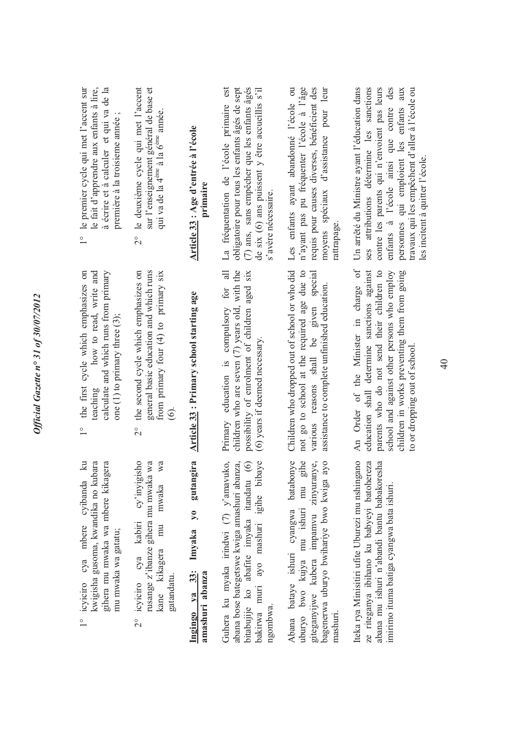| ţ<br>ı                   |
|--------------------------|
|                          |
|                          |
| $\sqrt{2}$               |
| $\sim$ 0.0 $\sim$        |
| $\overline{\phantom{a}}$ |
|                          |
| š                        |
| ,                        |
|                          |
| $\mathcal{S}$<br>١,      |
| $\frac{1}{2}$            |
| ₹                        |
| $\frac{1}{\mathsf{O}}$   |
| Z                        |
|                          |
| o                        |
| $\frac{1}{2}$            |
|                          |
| ť<br>î                   |
|                          |
| t                        |
|                          |
|                          |
|                          |
|                          |
|                          |
| es<br>C                  |
|                          |
|                          |
|                          |

- 1° icyiciro cya mbere cyibanda ku kwigisha gusoma, kwandika no kubara gihera mu mwaka wa mbere kikagera cya mbere cyibanda ku kwigisha gusoma, kwandika no kubara gihera mu mwaka wa mbere kikagera mu mwaka wa gatatu; mu mwaka wa gatatu; icyiciro  $\frac{1}{2}$
- 2° icyiciro cya kabiri cy'inyigisho rusange z'ibanze gihera mu mwaka wa kane kikagera mu mwaka wa cy'inyigisho rusange z'ibanze gihera mu mwaka wa kane kikagera mu mwaka wa cya kabiri gatandatu. icyiciro  $\frac{1}{2}$
- 1° the first cycle which emphasizes on teaching how to read, write and calculate and which runs from primary the first cycle which emphasizes on how to read, write and calculate and which runs from primary one  $(1)$  to primary three  $(3)$ ; one  $(1)$  to primary three  $(3)$ ; teaching  $\frac{1}{2}$
- 2° the second cycle which emphasizes on general basic education and which runs<br>from primary four (4) to primary six general basic education and which runs from primary four (4) to primary six the second cycle which emphasizes on (6).  $\overline{C}$

**Article 33 : Primary school starting age**  Imyaka yo gutangira Article 33: Primary school starting age **Ingingo ya 33: Imyaka yo gutangira** 

**amashuri abanza**

Ingingo ya 33:<br>amashuri abanza

Guhera ku myaka irindwi (7) y'amavuko, abana bose bategetswe kwiga amashuri abanza, bakirwa muri ayo mashuri igihe bibaye Guhera ku myaka irindwi (7) y'amavuko, abana bose bategetswe kwiga amashuri abanza, bitabujije ko abafite imyaka itandatu (6) bitabujije ko abafite imyaka itandatu (6) bakirwa muri ayo mashuri igihe bibaye ngombwa. Abana bataye ishuri cyangwa batabonye bagenerwa uburyo bwihariye bwo kwiga ayo bwo kujya mu ishuri mu gihe giteganyijwe kubera impamvu zinyuranye, Abana bataye ishuri cyangwa batabonye uburyo bwo kujya mu ishuri mu gihe giteganyijwe kubera impamvu zinyuranye, bagenerwa uburyo bwihariye bwo kwiga ayo uburyo mashuri.

Iteka rya Minisitiri ufite Uburezi mu nshingano ze riteganya ibihano ku babyeyi batohereza abana mu ishuri n'abandi bantu babakoresha Iteka rya Minisitiri ufite Uburezi mu nshingano ze riteganya ibihano ku babyeyi batohereza abana mu ishuri n'abandi bantu babakoresha imirimo ituma batiga cyangwa bata ishuri. imirimo ituma batiga cyangwa bata ishuri.

 $\overline{a}$ children who are seven (7) years old, with the Primary education is compulsory for all children who are seven (7) years old, with the possibility of enrolment of children aged six possibility of enrolment of children aged six Primary education is compulsory for (6) years if deemed necessary. (6) years if deemed necessary. Children who dropped out of school or who did not go to school at the required age due to various reasons shall be given special Children who dropped out of school or who did not go to school at the required age due to various reasons shall be given special assistance to complete unfinished education. assistance to complete unfinished education.

rattrapage.

An Order of the Minister in charge of parents who do not send their children to school and against other persons who employ education shall determine sanctions against An Order of the Minister in charge of education shall determine sanctions against parents who do not send their children to school and against other persons who employ children in works preventing them from going children in works preventing them from going to or dropping out of school. to or dropping out of school.

- 1° le premier cycle qui met l'accent sur 1° le premier cycle qui met l'accent sur le fait d'apprendre aux enfants à lire, le fait d'apprendre aux enfants à lire, à écrire et à calculer et qui va de la à écrire et à calculer et qui va de la première à la troisieme année ; première à la troisieme année;
- sur l'enseignement général de base et le deuxième cycle qui met l'accent 2° le deuxième cycle qui met l'accent sur l'enseignement général de base et qui va de la 4ème à la 6ème année. qui va de la 4<sup>ème</sup> à la 6<sup>ème</sup> année.  $\frac{1}{2}$

## **Article 33 : Age d'entrée à l'école**  Article 33 : Age d'entrée à l'école **primaire**

La fréquentation de l'école primaire est obligatoire pour tous les enfants âgés de sept (7) ans, sans empêcher que les enfants âgés (7) ans, sans empêcher que les enfants âgés de six (6) ans puissent y être accueillis s'il La fréquentation de l'école primaire est obligatoire pour tous les enfants âgés de sept de six (6) ans puissent y être accueillis s'il s'avère nécessaire. s'avère nécessaire.

Les enfants ayant abandonné l'école ou n'ayant pas pu fréquenter l'école à l'âge requis pour causes diverses, bénéficient des moyens spéciaux d'assistance pour leur

Les enfants ayant abandonné l'école ou n'ayant pas pu fréquenter l'école à l'âge requis pour causes diverses, bénéficient des moyens spéciaux d'assistance pour leur

enfants à l'école ainsi que contre des personnes qui emploient les enfants aux Un arrêté du Ministre ayant l'éducation dans Un arrêté du Ministre ayant l'éducation dans ses attributions détermine les sanctions ses attributions détermine les sanctions contre les parents qui n'envoient pas leurs contre les parents qui n'envoient pas leurs enfants à l'école ainsi que contre des travaux qui les empêchent d'aller à l'école ou personnes qui emploient les enfants aux travaux qui les empêchent d'aller à l'école ou

les incitent à quitter l'école.

es incitent à quitter l'école.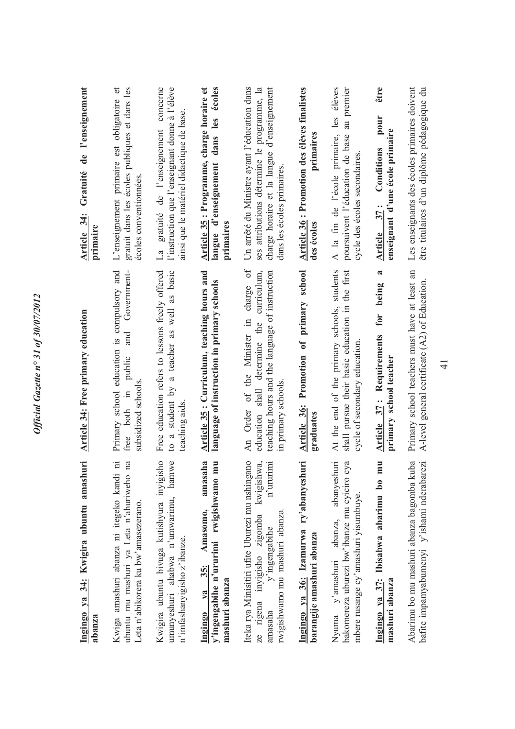| Ingingo ya 34: Kwigira ubuntu amashuri<br>abanza                                                                                                                     | <b>Article 34: Free primary education</b>                                                                                                                               | Gratuité de l'enseignement<br>Article 34:<br>primaire                                                                                                                   |
|----------------------------------------------------------------------------------------------------------------------------------------------------------------------|-------------------------------------------------------------------------------------------------------------------------------------------------------------------------|-------------------------------------------------------------------------------------------------------------------------------------------------------------------------|
| .Е<br>na<br>Kwiga amashuri abanza ni itegeko kandi<br>ubuntu mu mashuri ya Leta n'ahuriweho<br>Leta n'abikorera ku bw'amasezerano.                                   | Primary school education is compulsory and<br>Government-<br>and<br>free both in public<br>subsidized schools.                                                          | gratuit dans les écoles publiques et dans les<br>L'enseignement primaire est obligatoire et<br>écoles conventionnées.                                                   |
| Kwigira ubuntu bivuga kutishyura inyigisho<br>umunyeshuri ahabwa n'umwarimu, hamwe<br>n'imfashanyigisho z'ibanze.                                                    | Free education refers to lessons freely offered<br>a teacher as well as basic<br>a student by<br>teaching aids<br>$\overline{c}$                                        | concerne<br>l'instruction que l'enseignant donne à l'élève<br>ainsi que le matériel didactique de base.<br>gratuité de l'enseignement<br>La                             |
| amasaha<br>mu<br>y'ingengabihe n'ururimi rwigishwamo<br>Amasomo,<br>35:<br>mashuri abanza<br>Ingingo ya                                                              | Article 35: Curriculum, teaching hours and<br>language of instruction in primary schools                                                                                | Article 35 : Programme, charge horaire et<br>écoles<br>langue d'enseignement dans les<br>primaires                                                                      |
| Iteka rya Minisitiri ufite Uburezi mu nshingano<br>n'ururimi<br>ze rigena inyigisho zigomba kwigishwa,<br>rwigishwamo mu mashuri abanza.<br>y'ingengabihe<br>amasaha | $\sigma$<br>education shall determine the curriculum,<br>teaching hours and the language of instruction<br>charge<br>An Order of the Minister in<br>in primary schools. | Un arrêté du Ministre ayant l'éducation dans<br>ses attributions détermine le programme, la<br>charge horaire et la langue d'enseignement<br>dans les écoles primaires. |
| Ingingo ya 36: Izamurwa ry'abanyeshuri<br>barangije amashuri abanza                                                                                                  | Article 36: Promotion of primary school<br>graduates                                                                                                                    | Article 36 : Promotion des élèves finalistes<br>primaires<br>des écoles                                                                                                 |
| abanyeshuri<br>суа<br>bakomereza uburezi bw'ibanze mu cyiciro<br>mbere rusange cy'amashuri yisumbuye.<br>abanza,<br>Nyuma y'amashuri                                 | At the end of the primary schools, students<br>shall pursue their basic education in the first<br>cycle of secondary education                                          | A la fin de l'école primaire, les élèves<br>poursuivent l'éducation de base au premier<br>cycle des écoles secondaires.                                                 |
| mu<br>Ingingo ya 37: Ibisabwa abarimu bo<br>mashuri abanza                                                                                                           | $\boldsymbol{\mathfrak{a}}$<br>being<br>for<br>Article 37: Requirements<br>primary school teacher                                                                       | être<br>pour<br>enseignant d'une école primaire<br>Conditions<br>Article 37:                                                                                            |
| Abarimu bo mu mashuri abanza bagomba kuba<br>bafite impamyabumenyi y'ishami nderabarezi                                                                              | Primary school teachers must have at least an<br>A-level general certificate (A2) of Education                                                                          | Les enseignants des écoles primaires doivent<br>être titulaires d'un diplôme pédagogique du                                                                             |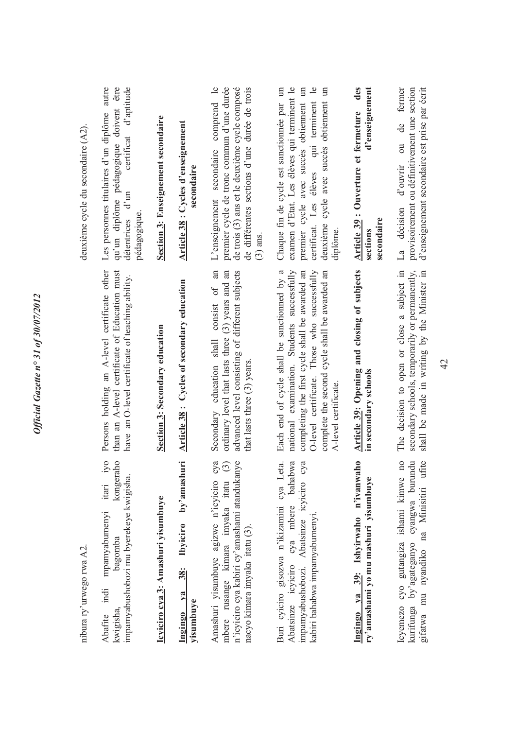| nibura ry'urwego rwa A2.                                                                                                                                                    |                                                                                                                                                                                                                                                                      | deuxième cycle du secondaire (A2).                                                                                                                                                                                                     |
|-----------------------------------------------------------------------------------------------------------------------------------------------------------------------------|----------------------------------------------------------------------------------------------------------------------------------------------------------------------------------------------------------------------------------------------------------------------|----------------------------------------------------------------------------------------------------------------------------------------------------------------------------------------------------------------------------------------|
| $i$ yo<br>kongeraho<br>impamyabushobozi mu byerekeye kwigisha.<br>itari<br>mpamyabumenyi<br>bagomba<br>indi<br>kwigisha<br>Abafite                                          | Persons holding an A-level certificate other<br>than an A-level certificate of Education must<br>have an O-level certificate of teaching ability.                                                                                                                    | autre<br>qu'un diplôme pédagogique doivent être<br>certificat d'aptitude<br>Les personnes titulaires d'un diplôme<br>détentrices d'un<br>pédagogique                                                                                   |
| Icyiciro cya 3: Amashuri yisumbuye                                                                                                                                          | Section 3: Secondary education                                                                                                                                                                                                                                       | Section 3: Enseignement secondaire                                                                                                                                                                                                     |
| Ibyiciro by'amashuri<br>$\frac{38}{3}$<br>$ya$<br>yisumbuye<br>Ingingo                                                                                                      | Article 38: Cycles of secondary education                                                                                                                                                                                                                            | Article 38 : Cycles d'enseignement<br>secondaire                                                                                                                                                                                       |
| Amashuri yisumbuye agizwe n'icyiciro cya<br>n'icyiciro cya kabiri cy'amashami atandukanye<br>$\odot$<br>mbere rusange kimara imyaka itatu<br>nacyo kimara imyaka itatu (3). | consist of an<br>advanced level consisting of different subjects<br>ordinary level that lasts three (3) years and an<br>Secondary education shall<br>that lasts three (3) years.                                                                                     | de différentes sections d'une durée de trois<br>L'enseignement secondaire comprend le<br>premier cycle de tronc commun d'une durée<br>de trois (3) ans et le deuxième cycle composé<br>$(3)$ ans.                                      |
| bahabwa<br>Buri cyiciro gisozwa n'ikizamini cya Leta.<br>impamyabushobozi. Abatsinze icyiciro cya<br>cya mbere<br>kabiri bahabwa impamyabumenyi<br>Abatsinze icyiciro       | Each end of cycle shall be sanctionned by a<br>national examination. Students successfully<br>O-level certificate. Those who successfully<br>completing the first cycle shall be awarded an<br>complete the second cycle shall be awarded an<br>A-level certificate. | examen d'Etat. Les élèves qui terminent le<br>certificat. Les élèves qui terminent le<br>Chaque fin de cycle est sanctionnée par un<br>premier cycle avec succès obtiennent un<br>deuxième cycle avec succès obtiennent un<br>diplôme. |
| Ingingo ya 39: Ishyirwaho n'ivanwaho<br>ry'amashami yo mu mashuri yisumbuye                                                                                                 | Article 39: Opening and closing of subjects<br>in secondary schools                                                                                                                                                                                                  | des<br>d'enseignement<br>Article 39: Ouverture et fermeture<br>secondaire<br>sections                                                                                                                                                  |
| $\overline{a}$<br>kurifunga by'agateganyo cyangwa burundu<br>mu nyandiko na Minisitiri ufite<br>lcyemezo cyo gutangiza ishami kimwe<br>gifatwa                              | The decision to open or close a subject in<br>secondary schools, temporarily or permanently,<br>shall be made in writing by the Minister in                                                                                                                          | d'enseignement secondaire est prise par écrit<br>de fermer<br>provisoirement ou définitivement une section<br>$\overline{\text{ou}}$<br>d'ouvrir<br>La décision                                                                        |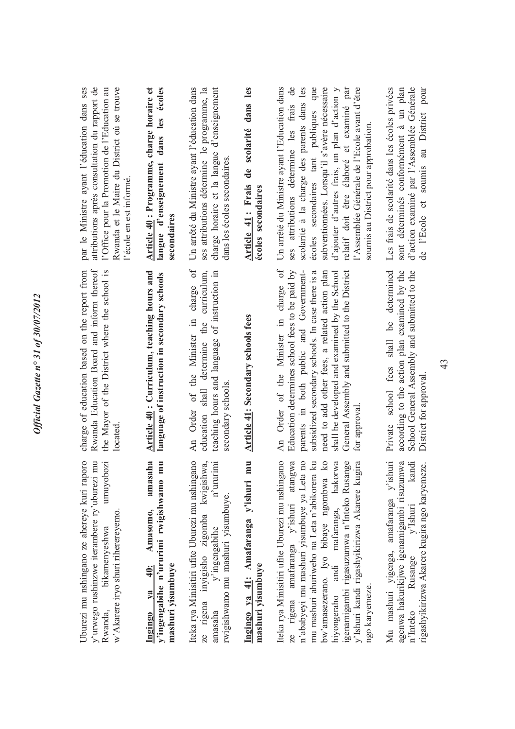| par le Ministre ayant l'éducation dans ses<br>attributions après consultation du rapport de<br>Rwanda et le Maire du District où se trouve<br>l'Office pour la Promotion de l'Education au<br>l'école en est informé. | Article 40 : Programme, charge horaire et<br>écoles<br>les<br>dans<br>langue d'enseignement<br>secondaires                      | Un arrêté du Ministre avant l'éducation dans<br>ses attributions détermine le programme, la<br>charge horaire et la langue d'enseignement<br>dans les écoles secondaires | de scolarité dans les<br>Article 41: Frais<br>écoles secondaires                   | Un arrêté du Ministre ayant l'Education dans<br>que<br>subventionnées. Lorsqu'il s'avère nécessaire<br>$\overline{d}$ e<br>scolarité à la charge des parents dans les<br>relatif doit être élaboré et examiné par<br>l'Assemblée Générale de l'Ecole avant d'être<br>d'ajouter d'autres frais, un plan d'action y<br>ses attributions détermine les frais<br>écoles secondaires tant publiques<br>soumis au District pour approbation.<br>$\sigma$<br>Order of the Minister in charge | d'action examiné par l'Assemblée Générale<br>Les frais de scolarité dans les écoles privées<br>sont déterminés conformément à un plan<br>de l'Ecole et soumis au District pour<br>shall be determined |
|-----------------------------------------------------------------------------------------------------------------------------------------------------------------------------------------------------------------------|---------------------------------------------------------------------------------------------------------------------------------|--------------------------------------------------------------------------------------------------------------------------------------------------------------------------|------------------------------------------------------------------------------------|---------------------------------------------------------------------------------------------------------------------------------------------------------------------------------------------------------------------------------------------------------------------------------------------------------------------------------------------------------------------------------------------------------------------------------------------------------------------------------------|-------------------------------------------------------------------------------------------------------------------------------------------------------------------------------------------------------|
| Rwanda Education Board and inform thereof<br>charge of education based on the report from<br>the Mayor of the District where the school is<br>located                                                                 | Article 40: Curriculum, teaching hours and<br>language of instruction in secondary schools                                      | An Order of the Minister in charge of<br>education shall determine the curriculum,<br>teaching hours and language of instruction in<br>secondary schools                 | <b>Article 41: Secondary schools fees</b>                                          | parents in both public and Government-<br>General Assembly and submitted to the District<br>Education determines school fees to be paid by<br>subsidized secondary schools. In case there is a<br>need to add other fees, a related action plan<br>shall be developed and examined by the School<br>for approval<br>$\overline{A}$ n                                                                                                                                                  | School General Assembly and submitted to the<br>according to the action plan examined by the<br>school fees<br>District for approval<br>Private                                                       |
| Uburezi mu nshingano ze ahereye kuri raporo<br>umuyobozi<br>y'urwego rushinzwe iterambere ry'uburezi mu<br>w'Akarere iryo shuri riherereyemo.<br>bikamenyeshwa<br>Rwanda,                                             | amasaha<br>$\overline{\mathbf{m}}$<br>y'ingengabihe n'ururimi rwigishwamo<br>Amasomo,<br>40:<br>mashuri yisumbuye<br>Ingingo ya | Iteka rya Minisitiri ufite Uburezi mu nshingano<br>ze rigena inyigisho zigomba kwigishwa,<br>n'ururimi<br>rwigishwamo mu mashuri yisumbuye.<br>y'ingengabihe<br>amasaha  | $\overline{\mathbf{m}}$<br>Ingingo ya 41: Amafaranga y'ishuri<br>mashuri yisumbuye | Iteka rya Minisitiri ufite Uburezi mu nshingano<br>n'ababyeyi mu mashuri yisumbuye ya Leta no<br>ze rigena amafaranga y'ishuri atangwa<br>mu mashuri ahuriweho na Leta n'abikorera ku<br>bw'amasezerano. Iyo bibaye ngombwa ko<br>hiyongeraho andi mafaranga, hakorwa<br>19 <sup>c</sup><br>y'Ishuri kandi rigashyikirizwa Akarere kugira<br>igenamigambi rigasuzumwa n'Inteko Rusar<br>ngo karyemeze.                                                                                | Mu mashuri yigenga, amafaranga y'ishuri<br>agenwa hakurikijwe igenamigambi risuzumwa<br>kandi<br>rigashyikirizwa Akarere kugira ngo karyemeze.<br>$v'$ Ishuri<br>Rusange<br>n'Inteko                  |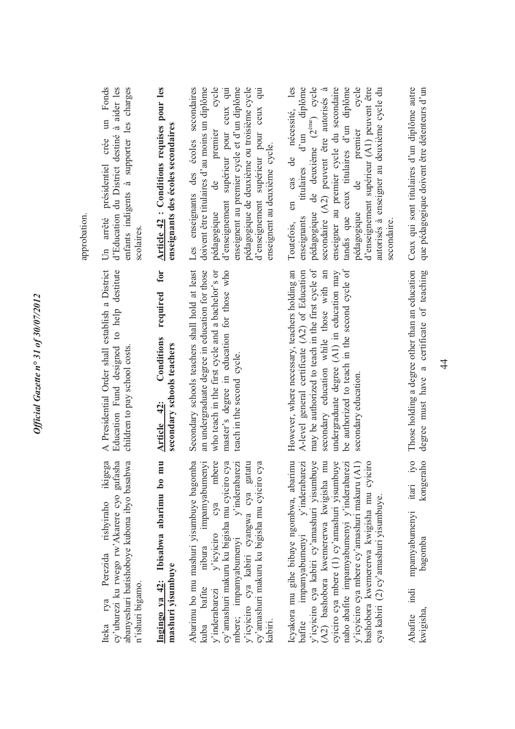| Un arrêté présidentiel crée un Fonds<br>enfants indigents à supporter les charges<br>d'Education du District destiné à aider les<br>scolaires.         | Article 42 : Conditions requises pour les<br>enseignants des écoles secondaires | cycle<br>enseignent au premier cycle et d'un diplôme<br>pédagogique de deuxième ou troisième cycle<br>Les enseignants des écoles secondaires<br>doivent être titulaires d'au moins un diplôme<br>d'enseignement supérieur pour ceux qui<br>d'enseignement supérieur pour ceux qui<br>pédagogique de premier<br>enseignent au deuxième cycle. | Toutefois, en cas de nécessité, les<br>pédagogique de deuxième (2 <sup>ème</sup> ) cycle<br>titulaires d'un diplôme<br>enseigner au premier cycle du secondaire<br>tandis que ceux titulaires d'un diplôme<br>pédagogique de premier cycle<br>d'enseignement supérieur (A1) peuvent être<br>secondaire (A2) peuvent être autorisés à<br>enseignants                     |
|--------------------------------------------------------------------------------------------------------------------------------------------------------|---------------------------------------------------------------------------------|----------------------------------------------------------------------------------------------------------------------------------------------------------------------------------------------------------------------------------------------------------------------------------------------------------------------------------------------|-------------------------------------------------------------------------------------------------------------------------------------------------------------------------------------------------------------------------------------------------------------------------------------------------------------------------------------------------------------------------|
| A Presidential Order shall establish a District<br>Education Fund designed to help destitute<br>children to pay school costs.                          | required for<br>Conditions<br>secondary schools teachers<br>Article 42:         | Secondary schools teachers shall hold at least<br>an undergraduate degree in education for those<br>who teach in the first cycle and a bachelor's or<br>master's degree in education for those who<br>teach in the second cycle.                                                                                                             | However, where necessary, teachers holding an<br>may be authorized to teach in the first cycle of<br>secondary education while those with an<br>be authorized to teach in the second cycle of<br>A-level general certificate (A2) of Education<br>undergraduate degree $(A1)$ in education may<br>secondary education.                                                  |
| Iteka rya Perezida rishyiraho ikigega<br>abanyeshuri batishoboye kubona ibyo basabwa<br>cy'uburezi ku rwego rw'Akarere cyo gufasha<br>n'ishuri bigamo. | mu<br>Ingingo ya 42: Ibisabwa abarimu bo<br>mashuri yisumbuye                   | y'inderabarezi y'icyiciro cya mbere<br>mbere; impamyabumenyi y'inderabarezi<br>Abarimu bo mu mashuri yisumbuye bagomba<br>impamyabumenyi<br>cy'amashuri makuru ku bigisha mu cyiciro cya<br>y'icyiciro cya kabiri cyangwa cya gatatu<br>cy'amashuri makuru ku bigisha mu cyiciro cya<br>kuba bafite nibura<br>kabiri.                        | Icyakora mu gihe bibaye ngombwa, abarimu<br>impamyabumenyi y'inderabarezi<br>mu<br>y'icyiciro cya kabiri cy'amashuri yisumbuye<br>naho abafite impamyabumenyi y'inderabarezi<br>cyiciro cya mbere (1) cy'amashuri yisumbuye<br>y'icyiciro cya mbere cy'amashuri makuru (A1)<br>bashobora kwemererwa kwigisha mu cyiciro<br>(A2) bashobora kwemererwa kwigisha<br>bafite |

Those holding a degree other than an education Ceux qui sont titulaires d'un diplôme autre degree must have a certificate of teaching Those holding a degree other than an education degree must have a certificate of teaching iyo kongeraho Abafite indi mpamyabumenyi itari iyo kwigisha, bagomba kongeraho itari mpamyabumenyi bagomba indi Abafite kwigisha,

cya kabiri (2) cy'amashuri yisumbuye.

cya kabiri (2) cy'amashuri yisumbuye.

*Official Gazette n° 31 of 30/07/2012* 

Official Gazette nº 31 of 30/07/2012

## **Article 42 : Conditions requises pour les**  les

les<br>Sme<br>Se <sup>a</sup> aire<br>aire ycle pédagogique de deuxième (2ème) cycle tandis que ceux titulaires d'un diplôme pédagogique de premier cycle Toutefois, en cas de nécessité, les enseignants titulaires d'un diplôme secondaire (A2) peuvent être autorisés à enseigner au premier cycle du secondaire d'enseignement supérieur (A1) peuvent être d'enseignement supérieur (A1) peuvent être autorisés à enseigner au deuxième cycle du autorisés à enseigner au deuxième cycle du secondaire.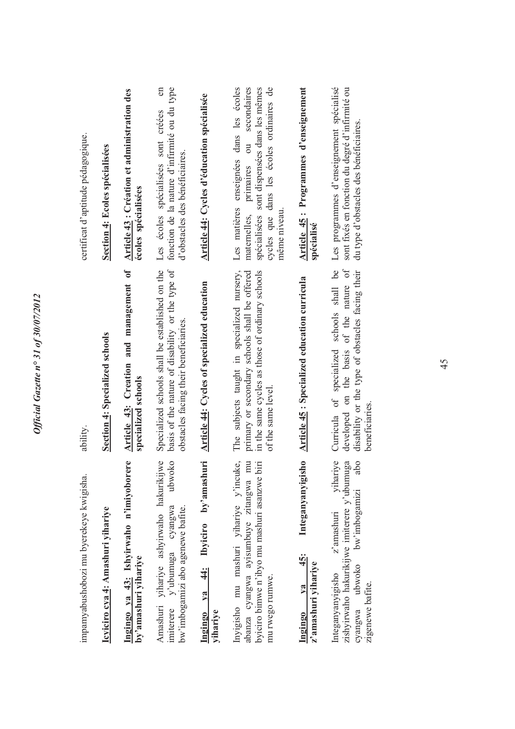| impamyabushobozi mu byerekeye kwigisha.                                                                                                                               | ability.                                                                                                                                                              | certificat d'aptitude pédagogique.                                                                                                                                                                                           |
|-----------------------------------------------------------------------------------------------------------------------------------------------------------------------|-----------------------------------------------------------------------------------------------------------------------------------------------------------------------|------------------------------------------------------------------------------------------------------------------------------------------------------------------------------------------------------------------------------|
| Icyiciro cya 4: Amashuri yihariye                                                                                                                                     | Section 4: Specialized schools                                                                                                                                        | <b>Section 4: Ecoles spécialisées</b>                                                                                                                                                                                        |
| Ingingo ya 43: Ishyirwaho n'imiyoborere<br>by'amashuri yihariye                                                                                                       | Article 43: Creation and management of<br>specialized schools                                                                                                         | Article 43 : Création et administration des<br>écoles spécialisées                                                                                                                                                           |
| Amashuri yihariye ashyirwaho hakurikijwe<br>ubwoko<br>y'ubumuga cyangwa<br>bw'imbogamizi abo agenewe bafite.<br>imiterere                                             | Specialized schools shall be established on the<br>basis of the nature of disability or the type of<br>obstacles facing their beneficiaries.                          | fonction de la nature d'infirmité ou du type<br>$\epsilon$<br>Les écoles spécialisées sont créées<br>d'obstacles des bénéficiaires.                                                                                          |
| by'amashuri<br><b>Ibyiciro</b><br>$\frac{4}{3}$<br>ya<br>yihariye<br>Ingingo                                                                                          | <b>Article 44: Cycles of specialized education</b>                                                                                                                    | Article 44: Cycles d'éducation spécialisée                                                                                                                                                                                   |
| Inyigisho mu mashuri yihariye y'incuke,<br>$\overline{m}$<br>biri<br>byiciro bimwe n'ibyo mu mashuri asanzwe<br>abanza cyangwa ayisumbuye zitangwa<br>mu rwego rumwe. | The subjects taught in specialized nursery,<br>in the same cycles as those of ordinary schools<br>primary or secondary schools shall be offered<br>of the same level. | enseignées dans les écoles<br>secondaires<br>cycles que dans les écoles ordinaires de<br>spécialisées sont dispensées dans les mêmes<br>$\overline{\mathrm{d}}$<br>primaires<br>Les matières<br>même niveau.<br>maternelles, |
| Integanyanyigisho<br>45:<br>z'amashuri yihariye<br>$V2$<br>Ingingo                                                                                                    | Article 45 : Specialized education curricula                                                                                                                          | Article 45: Programmes d'enseignement<br>spécialisé                                                                                                                                                                          |
| yihariye<br>zishyirwaho hakurikijwe imiterere y'ubumuga<br>abo<br>bw'imbogamizi<br>z'amashuri<br>ubwoko<br>Integanyanyigisho<br>zigenewe bafite.<br>cyangwa           | developed on the basis of the nature of<br>Curricula of specialized schools shall be<br>disability or the type of obstacles facing their<br>beneficiaries.            | Les programmes d'enseignement spécialisé<br>sont fixés en fonction du degré d'infirmité ou<br>du type d'obstacles des bénéficiaires.                                                                                         |
|                                                                                                                                                                       |                                                                                                                                                                       |                                                                                                                                                                                                                              |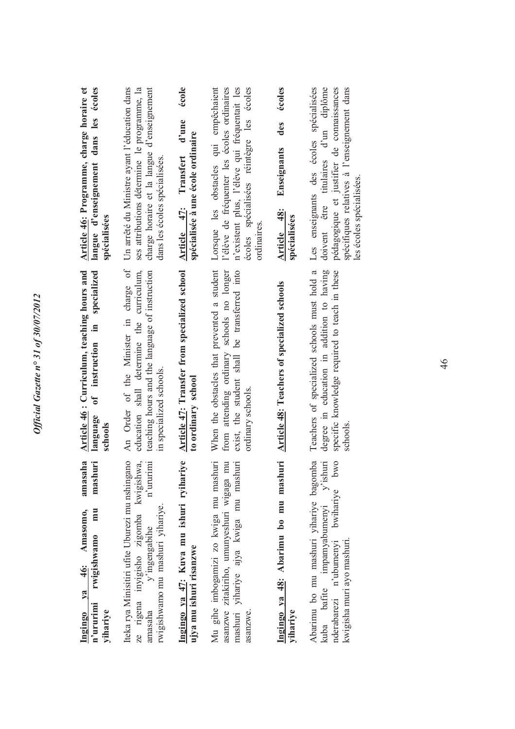| langue d'enseignement dans les écoles<br>Article 46: Programme, charge horaire et<br>spécialisées     | Un arrêté du Ministre ayant l'éducation dans<br>ses attributions détermine le programme, la<br>charge horaire et la langue d'enseignement<br>dans les écoles spécialisées. | école<br>d'une<br>spécialisée à une école ordinaire<br>Article 47: Transfert | l'élève de fréquenter les écoles ordinaires<br>n'existent plus, l'élève qui fréquentait les<br>écoles spécialisées réintègre les écoles<br>Lorsque les obstacles qui empêchaient<br>ordinaires. | écoles<br>des<br>Enseignants<br>Article 48:<br>spécialisées | Les enseignants des écoles spécialisées<br>doivent être titulaires d'un diplôme<br>pédagogique et justifier de connaissances<br>spécifiques relatives à l'enseignement dans<br>les écoles spécialisées. |
|-------------------------------------------------------------------------------------------------------|----------------------------------------------------------------------------------------------------------------------------------------------------------------------------|------------------------------------------------------------------------------|-------------------------------------------------------------------------------------------------------------------------------------------------------------------------------------------------|-------------------------------------------------------------|---------------------------------------------------------------------------------------------------------------------------------------------------------------------------------------------------------|
| Article 46: Curriculum, teaching hours and<br>specialized<br>of instruction in<br>language<br>schools | An Order of the Minister in charge of<br>teaching hours and the language of instruction<br>education shall determine the curriculum,<br>in specialized schools.            | Article 47: Transfer from specialized school<br>to ordinary school           | When the obstacles that prevented a student<br>from attending ordinary schools no longer<br>exist, the student shall be transferred into<br>ordinary schools.                                   | <b>Article 48: Teachers of specialized schools</b>          | degree in education in addition to having<br>Teachers of specialized schools must hold a<br>specific knowledge required to teach in these<br>schools.                                                   |
| amasaha<br>mashuri<br>mu<br>Amasomo,<br>rwigishwamo<br>Ingingo ya 46:<br>n'ururimi<br>yihariye        | Iteka rya Minisitiri ufite Uburezi mu nshingano<br>ze rigena inyigisho zigomba kwigishwa,<br>amasaha y'ingengabihe n'ururimi<br>rwigishwamo mu mashuri yihariye.           | Ingingo ya 47: Kuva mu ishuri ryihariye<br>ujya mu ishuri risanzwe           | Mu gihe imbogamizi zo kwiga mu mashuri<br>mu<br>mashuri yihariye ajya kwiga mu mashuri<br>asanzwe zitakiriho, umunyeshuri wigaga<br>asanzwe.                                                    | Ingingo ya 48: Abarimu bo mu mashuri<br>yihariye            | Abarimu bo mu mashuri yihariye bagomba kuba bafite impamyabumenyi y'ishuri<br>bwo<br>bwihariye<br>kwigisha muri ayo mashuri.<br>nderabarezi n'ubumenyi                                                  |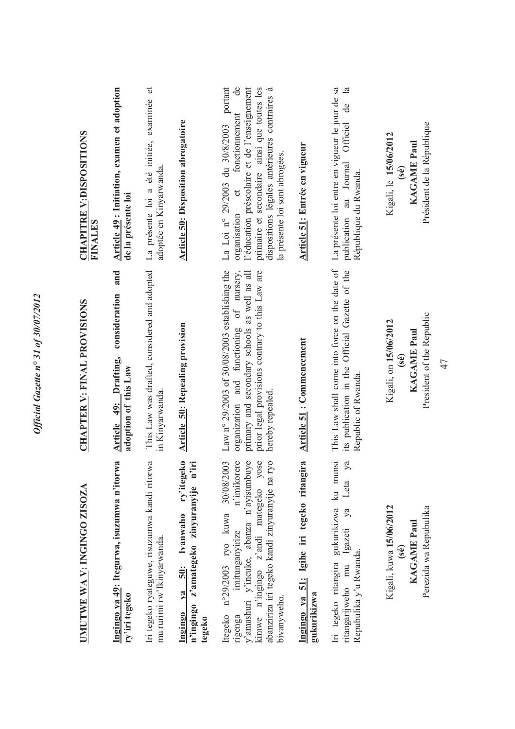| UMUTWE WA V: INGINGO ZISOZA                                                                                                                                                                                                              | <b>CHAPTER V: FINAL PROVISIONS</b>                                                                                                                                                                               | <b>CHAPITRE V:DISPOSITIONS</b><br>FINALES                                                                                                                                                                                                                                        |
|------------------------------------------------------------------------------------------------------------------------------------------------------------------------------------------------------------------------------------------|------------------------------------------------------------------------------------------------------------------------------------------------------------------------------------------------------------------|----------------------------------------------------------------------------------------------------------------------------------------------------------------------------------------------------------------------------------------------------------------------------------|
| Ingingo ya 49: Itegurwa, isuzumwa n'itorwa<br>ry'iri tegeko                                                                                                                                                                              | and<br>consideration<br>Article 49: Drafting,<br>adoption of this Law                                                                                                                                            | Article 49: Initiation, examen et adoption<br>de la présente loi                                                                                                                                                                                                                 |
| Iri tegeko ryateguwe, risuzumwa kandi ritorwa<br>mu rurimi rw'Ikinyarwanda.                                                                                                                                                              | This Law was drafted, considered and adopted<br>in Kinyarwanda.                                                                                                                                                  | La présente loi a été initiée, examinée et<br>adoptée en Kinyarwanda.                                                                                                                                                                                                            |
| ry'itegeko<br>n'ingingo z'amategeko zinyuranyije n'iri<br>50: Ivanwaho<br>ya<br>Ingingo<br>tegeko                                                                                                                                        | <b>Article 50: Repealing provision</b>                                                                                                                                                                           | <b>Article 50: Disposition abrogatoire</b>                                                                                                                                                                                                                                       |
| kimwe n'ingingo z'andi mategeko yose<br>abanziriza iri tegeko kandi zinyuranyije na ryo<br>n'imikorere<br>y'amashuri y'incuke, abanza n'ayisumbuye<br>Itegeko nº29/2003 ryo kuwa 30/08/2003<br>imitunganyirize<br>bivanyweho.<br>rigenga | Law n° 29/2003 of 30/08/2003 establishing the<br>organization and functioning of nursery,<br>prior legal provisions contrary to this Law are<br>primary and secondary schools as well as all<br>hereby repealed. | portant<br>l'éducation préscolaire et de l'enseignement<br>primaire et secondaire ainsi que toutes les<br>$\mathbf{e}$<br>dispositions légales antérieures contraires à<br>fonctionnement<br>La Loi nº 29/2003 du 30/8/2003<br>la présente loi sont abrogées.<br>organisation et |
| 51: Igihe iri tegeko ritangira<br>gukurikizwa<br>Ingingo ya                                                                                                                                                                              | <b>Article 51: Commencement</b>                                                                                                                                                                                  | <b>Article 51: Entrée en vigueur</b>                                                                                                                                                                                                                                             |
| Iri tegeko ritangira gukurikizwa ku munsi<br>ya<br>Leta<br>Igazeti ya<br>Repubulika y'u Rwanda.<br>ritangarijweho mu                                                                                                                     | This Law shall come into force on the date of<br>its publication in the Official Gazette of the<br>Republic of Rwanda.                                                                                           | La présente loi entre en vigueur le jour de sa<br>$\mathbb{E}$<br>de<br>Officiel<br>publication au Journal<br>République du Rwanda.                                                                                                                                              |
| Kigali, kuwa 15/06/2012<br>Perezida wa Repubulika<br><b>KAGAME Paul</b><br>(sé)                                                                                                                                                          | President of the Republic<br>Kigali, on 15/06/2012<br><b>KAGAME Paul</b><br>(sé)<br>47                                                                                                                           | Président de la République<br>Kigali, le 15/06/2012<br><b>KAGAME Paul</b><br>(sé)                                                                                                                                                                                                |